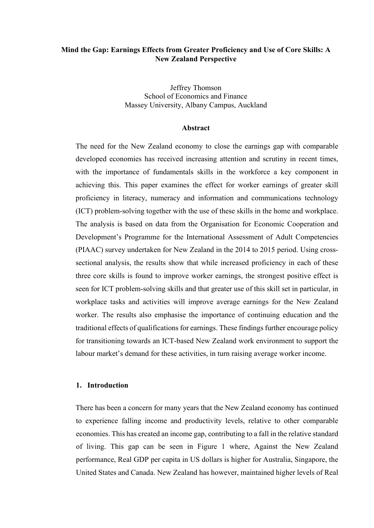# **Mind the Gap: Earnings Effects from Greater Proficiency and Use of Core Skills: A New Zealand Perspective**

Jeffrey Thomson School of Economics and Finance Massey University, Albany Campus, Auckland

#### **Abstract**

The need for the New Zealand economy to close the earnings gap with comparable developed economies has received increasing attention and scrutiny in recent times, with the importance of fundamentals skills in the workforce a key component in achieving this. This paper examines the effect for worker earnings of greater skill proficiency in literacy, numeracy and information and communications technology (ICT) problem-solving together with the use of these skills in the home and workplace. The analysis is based on data from the Organisation for Economic Cooperation and Development's Programme for the International Assessment of Adult Competencies (PIAAC) survey undertaken for New Zealand in the 2014 to 2015 period. Using crosssectional analysis, the results show that while increased proficiency in each of these three core skills is found to improve worker earnings, the strongest positive effect is seen for ICT problem-solving skills and that greater use of this skill set in particular, in workplace tasks and activities will improve average earnings for the New Zealand worker. The results also emphasise the importance of continuing education and the traditional effects of qualifications for earnings. These findings further encourage policy for transitioning towards an ICT-based New Zealand work environment to support the labour market's demand for these activities, in turn raising average worker income.

### **1. Introduction**

There has been a concern for many years that the New Zealand economy has continued to experience falling income and productivity levels, relative to other comparable economies. This has created an income gap, contributing to a fall in the relative standard of living. This gap can be seen in Figure 1 where, Against the New Zealand performance, Real GDP per capita in US dollars is higher for Australia, Singapore, the United States and Canada. New Zealand has however, maintained higher levels of Real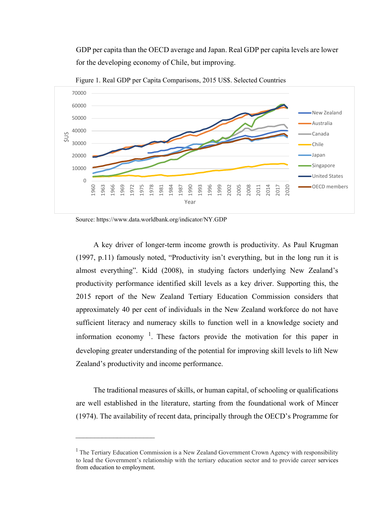GDP per capita than the OECD average and Japan. Real GDP per capita levels are lower for the developing economy of Chile, but improving.



Figure 1. Real GDP per Capita Comparisons, 2015 US\$. Selected Countries

\_\_\_\_\_\_\_\_\_\_\_\_\_\_\_\_\_\_\_\_\_

A key driver of longer-term income growth is productivity. As Paul Krugman (1997, p.11) famously noted, "Productivity isn't everything, but in the long run it is almost everything". Kidd (2008), in studying factors underlying New Zealand's productivity performance identified skill levels as a key driver. Supporting this, the 2015 report of the New Zealand Tertiary Education Commission considers that approximately 40 per cent of individuals in the New Zealand workforce do not have sufficient literacy and numeracy skills to function well in a knowledge society and information economy  $1$ . These factors provide the motivation for this paper in developing greater understanding of the potential for improving skill levels to lift New Zealand's productivity and income performance.

The traditional measures of skills, or human capital, of schooling or qualifications are well established in the literature, starting from the foundational work of Mincer (1974). The availability of recent data, principally through the OECD's Programme for

Source: https://www.data.worldbank.org/indicator/NY.GDP

<sup>&</sup>lt;sup>1</sup> The Tertiary Education Commission is a New Zealand Government Crown Agency with responsibility to lead the Government's relationship with the tertiary education sector and to provide career services from education to employment.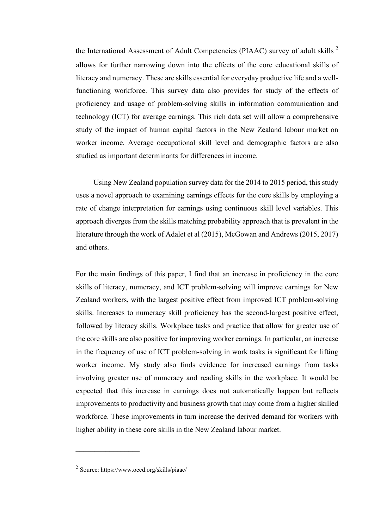the International Assessment of Adult Competencies (PIAAC) survey of adult skills  $2$ allows for further narrowing down into the effects of the core educational skills of literacy and numeracy. These are skills essential for everyday productive life and a wellfunctioning workforce. This survey data also provides for study of the effects of proficiency and usage of problem-solving skills in information communication and technology (ICT) for average earnings. This rich data set will allow a comprehensive study of the impact of human capital factors in the New Zealand labour market on worker income. Average occupational skill level and demographic factors are also studied as important determinants for differences in income.

Using New Zealand population survey data for the 2014 to 2015 period, this study uses a novel approach to examining earnings effects for the core skills by employing a rate of change interpretation for earnings using continuous skill level variables. This approach diverges from the skills matching probability approach that is prevalent in the literature through the work of Adalet et al (2015), McGowan and Andrews (2015, 2017) and others.

For the main findings of this paper, I find that an increase in proficiency in the core skills of literacy, numeracy, and ICT problem-solving will improve earnings for New Zealand workers, with the largest positive effect from improved ICT problem-solving skills. Increases to numeracy skill proficiency has the second-largest positive effect, followed by literacy skills. Workplace tasks and practice that allow for greater use of the core skills are also positive for improving worker earnings. In particular, an increase in the frequency of use of ICT problem-solving in work tasks is significant for lifting worker income. My study also finds evidence for increased earnings from tasks involving greater use of numeracy and reading skills in the workplace. It would be expected that this increase in earnings does not automatically happen but reflects improvements to productivity and business growth that may come from a higher skilled workforce. These improvements in turn increase the derived demand for workers with higher ability in these core skills in the New Zealand labour market.

 $\mathcal{L}=\mathcal{L}^{\text{max}}$ 

<sup>2</sup> Source:<https://www.oecd.org/skills/piaac/>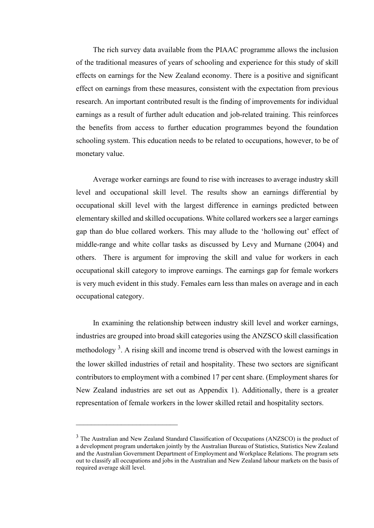The rich survey data available from the PIAAC programme allows the inclusion of the traditional measures of years of schooling and experience for this study of skill effects on earnings for the New Zealand economy. There is a positive and significant effect on earnings from these measures, consistent with the expectation from previous research. An important contributed result is the finding of improvements for individual earnings as a result of further adult education and job-related training. This reinforces the benefits from access to further education programmes beyond the foundation schooling system. This education needs to be related to occupations, however, to be of monetary value.

Average worker earnings are found to rise with increases to average industry skill level and occupational skill level. The results show an earnings differential by occupational skill level with the largest difference in earnings predicted between elementary skilled and skilled occupations. White collared workers see a larger earnings gap than do blue collared workers. This may allude to the 'hollowing out' effect of middle-range and white collar tasks as discussed by Levy and Murnane (2004) and others. There is argument for improving the skill and value for workers in each occupational skill category to improve earnings. The earnings gap for female workers is very much evident in this study. Females earn less than males on average and in each occupational category.

In examining the relationship between industry skill level and worker earnings, industries are grouped into broad skill categories using the ANZSCO skill classification methodology<sup>3</sup>. A rising skill and income trend is observed with the lowest earnings in the lower skilled industries of retail and hospitality. These two sectors are significant contributors to employment with a combined 17 per cent share. (Employment shares for New Zealand industries are set out as Appendix 1). Additionally, there is a greater representation of female workers in the lower skilled retail and hospitality sectors.

<sup>&</sup>lt;sup>3</sup> The Australian and New Zealand Standard Classification of Occupations (ANZSCO) is the product of a development program undertaken jointly by the Australian Bureau of Statistics, Statistics New Zealand and the Australian Government Department of Employment and Workplace Relations. The program sets out to classify all occupations and jobs in the Australian and New Zealand labour markets on the basis of required average skill level.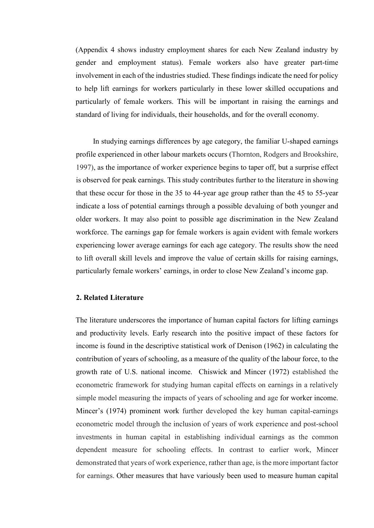(Appendix 4 shows industry employment shares for each New Zealand industry by gender and employment status). Female workers also have greater part-time involvement in each of the industries studied. These findings indicate the need for policy to help lift earnings for workers particularly in these lower skilled occupations and particularly of female workers. This will be important in raising the earnings and standard of living for individuals, their households, and for the overall economy.

In studying earnings differences by age category, the familiar U-shaped earnings profile experienced in other labour markets occurs (Thornton, Rodgers and Brookshire, 1997), as the importance of worker experience begins to taper off, but a surprise effect is observed for peak earnings. This study contributes further to the literature in showing that these occur for those in the 35 to 44-year age group rather than the 45 to 55-year indicate a loss of potential earnings through a possible devaluing of both younger and older workers. It may also point to possible age discrimination in the New Zealand workforce. The earnings gap for female workers is again evident with female workers experiencing lower average earnings for each age category. The results show the need to lift overall skill levels and improve the value of certain skills for raising earnings, particularly female workers' earnings, in order to close New Zealand's income gap.

#### **2. Related Literature**

The literature underscores the importance of human capital factors for lifting earnings and productivity levels. Early research into the positive impact of these factors for income is found in the descriptive statistical work of Denison (1962) in calculating the contribution of years of schooling, as a measure of the quality of the labour force, to the growth rate of U.S. national income. Chiswick and Mincer (1972) established the econometric framework for studying human capital effects on earnings in a relatively simple model measuring the impacts of years of schooling and age for worker income. Mincer's (1974) prominent work further developed the key human capital-earnings econometric model through the inclusion of years of work experience and post-school investments in human capital in establishing individual earnings as the common dependent measure for schooling effects. In contrast to earlier work, Mincer demonstrated that years of work experience, rather than age, is the more important factor for earnings. Other measures that have variously been used to measure human capital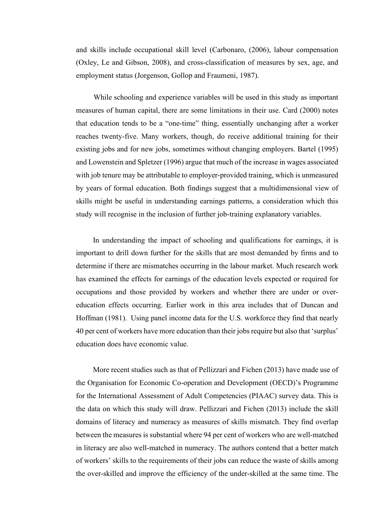and skills include occupational skill level (Carbonaro, (2006), labour compensation (Oxley, Le and Gibson, 2008), and cross-classification of measures by sex, age, and employment status (Jorgenson, Gollop and Fraumeni, 1987).

While schooling and experience variables will be used in this study as important measures of human capital, there are some limitations in their use. Card (2000) notes that education tends to be a "one-time" thing, essentially unchanging after a worker reaches twenty-five. Many workers, though, do receive additional training for their existing jobs and for new jobs, sometimes without changing employers. Bartel (1995) and Lowenstein and Spletzer (1996) argue that much of the increase in wages associated with job tenure may be attributable to employer-provided training, which is unmeasured by years of formal education. Both findings suggest that a multidimensional view of skills might be useful in understanding earnings patterns, a consideration which this study will recognise in the inclusion of further job-training explanatory variables.

In understanding the impact of schooling and qualifications for earnings, it is important to drill down further for the skills that are most demanded by firms and to determine if there are mismatches occurring in the labour market. Much research work has examined the effects for earnings of the education levels expected or required for occupations and those provided by workers and whether there are under or overeducation effects occurring. Earlier work in this area includes that of Duncan and Hoffman (1981). Using panel income data for the U.S. workforce they find that nearly 40 per cent of workers have more education than their jobs require but also that 'surplus' education does have economic value.

More recent studies such as that of Pellizzari and Fichen (2013) have made use of the Organisation for Economic Co-operation and Development (OECD)'s Programme for the International Assessment of Adult Competencies (PIAAC) survey data. This is the data on which this study will draw. Pellizzari and Fichen (2013) include the skill domains of literacy and numeracy as measures of skills mismatch. They find overlap between the measures is substantial where 94 per cent of workers who are well-matched in literacy are also well-matched in numeracy. The authors contend that a better match of workers' skills to the requirements of their jobs can reduce the waste of skills among the over-skilled and improve the efficiency of the under-skilled at the same time. The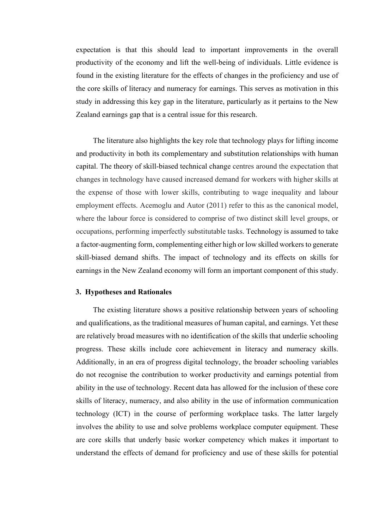expectation is that this should lead to important improvements in the overall productivity of the economy and lift the well-being of individuals. Little evidence is found in the existing literature for the effects of changes in the proficiency and use of the core skills of literacy and numeracy for earnings. This serves as motivation in this study in addressing this key gap in the literature, particularly as it pertains to the New Zealand earnings gap that is a central issue for this research.

The literature also highlights the key role that technology plays for lifting income and productivity in both its complementary and substitution relationships with human capital. The theory of skill-biased technical change centres around the expectation that changes in technology have caused increased demand for workers with higher skills at the expense of those with lower skills, contributing to wage inequality and labour employment effects. Acemoglu and Autor (2011) refer to this as the canonical model, where the labour force is considered to comprise of two distinct skill level groups, or occupations, performing imperfectly substitutable tasks. Technology is assumed to take a factor-augmenting form, complementing either high or low skilled workers to generate skill-biased demand shifts. The impact of technology and its effects on skills for earnings in the New Zealand economy will form an important component of this study.

### **3. Hypotheses and Rationales**

The existing literature shows a positive relationship between years of schooling and qualifications, as the traditional measures of human capital, and earnings. Yet these are relatively broad measures with no identification of the skills that underlie schooling progress. These skills include core achievement in literacy and numeracy skills. Additionally, in an era of progress digital technology, the broader schooling variables do not recognise the contribution to worker productivity and earnings potential from ability in the use of technology. Recent data has allowed for the inclusion of these core skills of literacy, numeracy, and also ability in the use of information communication technology (ICT) in the course of performing workplace tasks. The latter largely involves the ability to use and solve problems workplace computer equipment. These are core skills that underly basic worker competency which makes it important to understand the effects of demand for proficiency and use of these skills for potential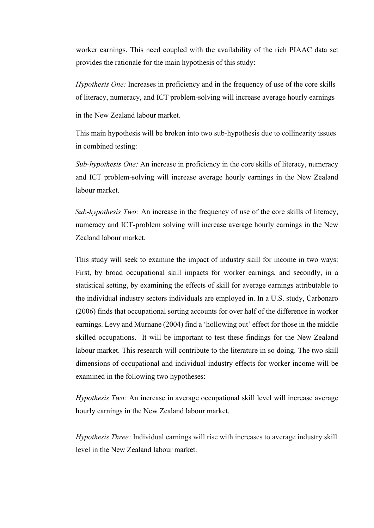worker earnings. This need coupled with the availability of the rich PIAAC data set provides the rationale for the main hypothesis of this study:

*Hypothesis One:* Increases in proficiency and in the frequency of use of the core skills of literacy, numeracy, and ICT problem-solving will increase average hourly earnings

in the New Zealand labour market.

This main hypothesis will be broken into two sub-hypothesis due to collinearity issues in combined testing:

*Sub-hypothesis One:* An increase in proficiency in the core skills of literacy, numeracy and ICT problem-solving will increase average hourly earnings in the New Zealand labour market.

*Sub-hypothesis Two:* An increase in the frequency of use of the core skills of literacy, numeracy and ICT-problem solving will increase average hourly earnings in the New Zealand labour market.

This study will seek to examine the impact of industry skill for income in two ways: First, by broad occupational skill impacts for worker earnings, and secondly, in a statistical setting, by examining the effects of skill for average earnings attributable to the individual industry sectors individuals are employed in. In a U.S. study, Carbonaro (2006) finds that occupational sorting accounts for over half of the difference in worker earnings. Levy and Murnane (2004) find a 'hollowing out' effect for those in the middle skilled occupations. It will be important to test these findings for the New Zealand labour market. This research will contribute to the literature in so doing. The two skill dimensions of occupational and individual industry effects for worker income will be examined in the following two hypotheses:

*Hypothesis Two:* An increase in average occupational skill level will increase average hourly earnings in the New Zealand labour market.

*Hypothesis Three:* Individual earnings will rise with increases to average industry skill level in the New Zealand labour market.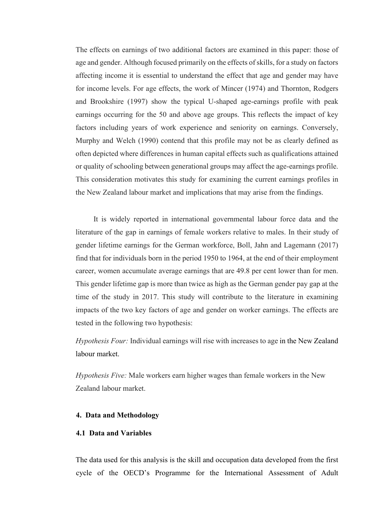The effects on earnings of two additional factors are examined in this paper: those of age and gender. Although focused primarily on the effects of skills, for a study on factors affecting income it is essential to understand the effect that age and gender may have for income levels. For age effects, the work of Mincer (1974) and Thornton, Rodgers and Brookshire (1997) show the typical U-shaped age-earnings profile with peak earnings occurring for the 50 and above age groups. This reflects the impact of key factors including years of work experience and seniority on earnings. Conversely, Murphy and Welch (1990) contend that this profile may not be as clearly defined as often depicted where differences in human capital effects such as qualifications attained or quality of schooling between generational groups may affect the age-earnings profile. This consideration motivates this study for examining the current earnings profiles in the New Zealand labour market and implications that may arise from the findings.

It is widely reported in international governmental labour force data and the literature of the gap in earnings of female workers relative to males. In their study of gender lifetime earnings for the German workforce, Boll, Jahn and Lagemann (2017) find that for individuals born in the period 1950 to 1964, at the end of their employment career, women accumulate average earnings that are 49.8 per cent lower than for men. This gender lifetime gap is more than twice as high as the German gender pay gap at the time of the study in 2017. This study will contribute to the literature in examining impacts of the two key factors of age and gender on worker earnings. The effects are tested in the following two hypothesis:

*Hypothesis Four:* Individual earnings will rise with increases to age in the New Zealand labour market.

*Hypothesis Five:* Male workers earn higher wages than female workers in the New Zealand labour market.

# **4. Data and Methodology**

## **4.1 Data and Variables**

The data used for this analysis is the skill and occupation data developed from the first cycle of the OECD's Programme for the International Assessment of Adult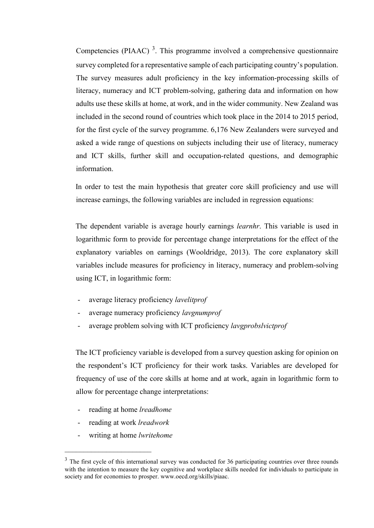Competencies (PIAAC)<sup>3</sup>. This programme involved a comprehensive questionnaire survey completed for a representative sample of each participating country's population. The survey measures adult proficiency in the key information-processing skills of literacy, numeracy and ICT problem-solving, gathering data and information on how adults use these skills at home, at work, and in the wider community. New Zealand was included in the second round of countries which took place in the 2014 to 2015 period, for the first cycle of the survey programme. 6,176 New Zealanders were surveyed and asked a wide range of questions on subjects including their use of literacy, numeracy and ICT skills, further skill and occupation-related questions, and demographic information.

In order to test the main hypothesis that greater core skill proficiency and use will increase earnings, the following variables are included in regression equations:

The dependent variable is average hourly earnings *learnhr*. This variable is used in logarithmic form to provide for percentage change interpretations for the effect of the explanatory variables on earnings (Wooldridge, 2013). The core explanatory skill variables include measures for proficiency in literacy, numeracy and problem-solving using ICT, in logarithmic form:

- average literacy proficiency *lavelitprof*
- average numeracy proficiency *lavgnumprof*
- average problem solving with ICT proficiency *lavgprobslvictprof*

The ICT proficiency variable is developed from a survey question asking for opinion on the respondent's ICT proficiency for their work tasks. Variables are developed for frequency of use of the core skills at home and at work, again in logarithmic form to allow for percentage change interpretations:

- reading at home *lreadhome*
- reading at work *lreadwork*
- writing at home *lwritehome*

 $3$  The first cycle of this international survey was conducted for 36 participating countries over three rounds with the intention to measure the key cognitive and workplace skills needed for individuals to participate in society and for economies to prosper. www.oecd.org/skills/piaac.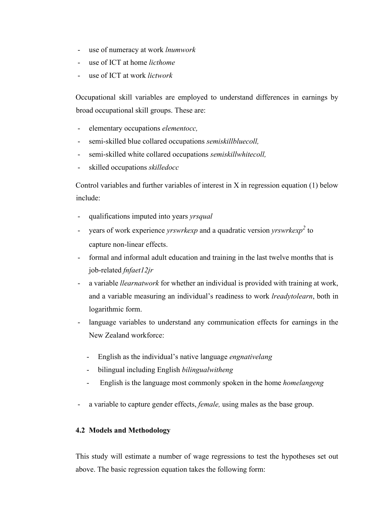- use of numeracy at work *lnumwork*
- use of ICT at home *licthome*
- use of ICT at work *lictwork*

Occupational skill variables are employed to understand differences in earnings by broad occupational skill groups. These are:

- elementary occupations *elementocc,*
- semi-skilled blue collared occupations *semiskillbluecoll,*
- semi-skilled white collared occupations *semiskillwhitecoll,*
- skilled occupations *skilledocc*

Control variables and further variables of interest in X in regression equation (1) below include:

- qualifications imputed into years *yrsqual*
- years of work experience *yrswrkexp* and a quadratic version *yrswrkexp<sup>2</sup>* to capture non-linear effects.
- formal and informal adult education and training in the last twelve months that is job-related *fnfaet12jr*
- a variable *llearnatwork* for whether an individual is provided with training at work, and a variable measuring an individual's readiness to work *lreadytolearn*, both in logarithmic form.
- language variables to understand any communication effects for earnings in the New Zealand workforce:
	- English as the individual's native language *engnativelang*
	- bilingual including English *bilingualwitheng*
	- English is the language most commonly spoken in the home *homelangeng*
- a variable to capture gender effects, *female*, using males as the base group.

# **4.2 Models and Methodology**

This study will estimate a number of wage regressions to test the hypotheses set out above. The basic regression equation takes the following form: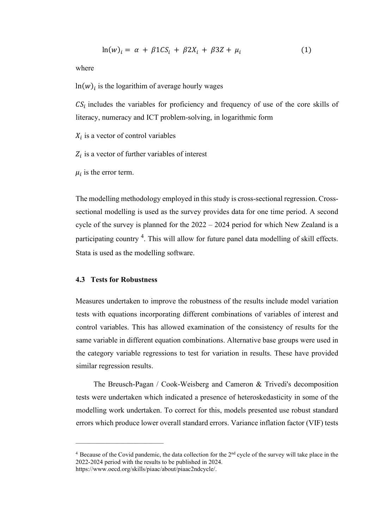$$
\ln(w)_i = \alpha + \beta 1CS_i + \beta 2X_i + \beta 3Z + \mu_i \tag{1}
$$

where

 $ln(w)_i$  is the logarithim of average hourly wages

 $CS_i$  includes the variables for proficiency and frequency of use of the core skills of literacy, numeracy and ICT problem-solving, in logarithmic form

 $X_i$  is a vector of control variables

 $Z_i$  is a vector of further variables of interest

 $\mu_i$  is the error term.

The modelling methodology employed in this study is cross-sectional regression. Crosssectional modelling is used as the survey provides data for one time period. A second cycle of the survey is planned for the 2022 – 2024 period for which New Zealand is a participating country <sup>4</sup>. This will allow for future panel data modelling of skill effects. Stata is used as the modelling software.

### **4.3 Tests for Robustness**

 $\mathcal{L}=\{1,2,3,4,5\}$ 

Measures undertaken to improve the robustness of the results include model variation tests with equations incorporating different combinations of variables of interest and control variables. This has allowed examination of the consistency of results for the same variable in different equation combinations. Alternative base groups were used in the category variable regressions to test for variation in results. These have provided similar regression results.

The Breusch-Pagan / Cook-Weisberg and Cameron & Trivedi's decomposition tests were undertaken which indicated a presence of heteroskedasticity in some of the modelling work undertaken. To correct for this, models presented use robust standard errors which produce lower overall standard errors. Variance inflation factor (VIF) tests

<sup>&</sup>lt;sup>4</sup> Because of the Covid pandemic, the data collection for the 2<sup>nd</sup> cycle of the survey will take place in the 2022-2024 period with the results to be published in 2024. [https://www.oecd.org/skills/piaac/about/piaac2ndcycle/.](https://www.oecd.org/skills/piaac/about/piaac2ndcycle/)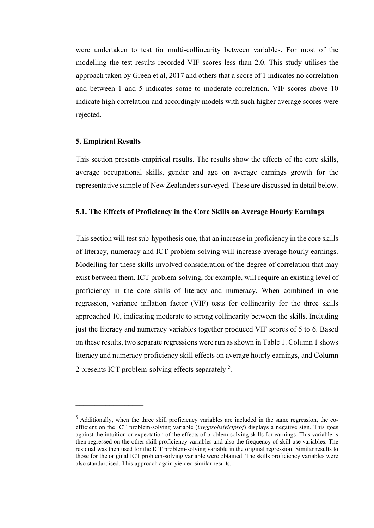were undertaken to test for multi-collinearity between variables. For most of the modelling the test results recorded VIF scores less than 2.0. This study utilises the approach taken by Green et al, 2017 and others that a score of 1 indicates no correlation and between 1 and 5 indicates some to moderate correlation. VIF scores above 10 indicate high correlation and accordingly models with such higher average scores were rejected.

### **5. Empirical Results**

 $\mathcal{L}_\text{max}$ 

This section presents empirical results. The results show the effects of the core skills, average occupational skills, gender and age on average earnings growth for the representative sample of New Zealanders surveyed. These are discussed in detail below.

## **5.1. The Effects of Proficiency in the Core Skills on Average Hourly Earnings**

This section will test sub-hypothesis one, that an increase in proficiency in the core skills of literacy, numeracy and ICT problem-solving will increase average hourly earnings. Modelling for these skills involved consideration of the degree of correlation that may exist between them. ICT problem-solving, for example, will require an existing level of proficiency in the core skills of literacy and numeracy. When combined in one regression, variance inflation factor (VIF) tests for collinearity for the three skills approached 10, indicating moderate to strong collinearity between the skills. Including just the literacy and numeracy variables together produced VIF scores of 5 to 6. Based on these results, two separate regressions were run as shown in Table 1. Column 1 shows literacy and numeracy proficiency skill effects on average hourly earnings, and Column 2 presents ICT problem-solving effects separately <sup>5</sup>.

 $<sup>5</sup>$  Additionally, when the three skill proficiency variables are included in the same regression, the co-</sup> efficient on the ICT problem-solving variable (*lavgprobslvictprof*) displays a negative sign. This goes against the intuition or expectation of the effects of problem-solving skills for earnings*.* This variable is then regressed on the other skill proficiency variables and also the frequency of skill use variables. The residual was then used for the ICT problem-solving variable in the original regression. Similar results to those for the original ICT problem-solving variable were obtained. The skills proficiency variables were also standardised. This approach again yielded similar results.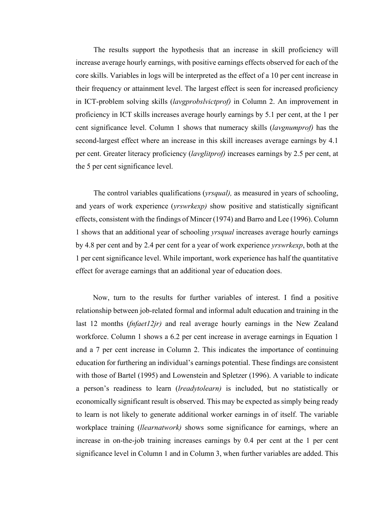The results support the hypothesis that an increase in skill proficiency will increase average hourly earnings, with positive earnings effects observed for each of the core skills. Variables in logs will be interpreted as the effect of a 10 per cent increase in their frequency or attainment level. The largest effect is seen for increased proficiency in ICT-problem solving skills (*lavgprobslvictprof)* in Column 2. An improvement in proficiency in ICT skills increases average hourly earnings by 5.1 per cent, at the 1 per cent significance level. Column 1 shows that numeracy skills (*lavgnumprof)* has the second-largest effect where an increase in this skill increases average earnings by 4.1 per cent. Greater literacy proficiency (*lavglitprof)* increases earnings by 2.5 per cent, at the 5 per cent significance level.

The control variables qualifications (*yrsqual),* as measured in years of schooling, and years of work experience (*yrswrkexp)* show positive and statistically significant effects, consistent with the findings of Mincer (1974) and Barro and Lee (1996). Column 1 shows that an additional year of schooling *yrsqual* increases average hourly earnings by 4.8 per cent and by 2.4 per cent for a year of work experience *yrswrkexp*, both at the 1 per cent significance level. While important, work experience has half the quantitative effect for average earnings that an additional year of education does.

Now, turn to the results for further variables of interest. I find a positive relationship between job-related formal and informal adult education and training in the last 12 months (*fnfaet12jr)* and real average hourly earnings in the New Zealand workforce. Column 1 shows a 6.2 per cent increase in average earnings in Equation 1 and a 7 per cent increase in Column 2. This indicates the importance of continuing education for furthering an individual's earnings potential. These findings are consistent with those of Bartel (1995) and Lowenstein and Spletzer (1996). A variable to indicate a person's readiness to learn (*lreadytolearn)* is included, but no statistically or economically significant result is observed. This may be expected as simply being ready to learn is not likely to generate additional worker earnings in of itself. The variable workplace training (*llearnatwork)* shows some significance for earnings, where an increase in on-the-job training increases earnings by 0.4 per cent at the 1 per cent significance level in Column 1 and in Column 3, when further variables are added. This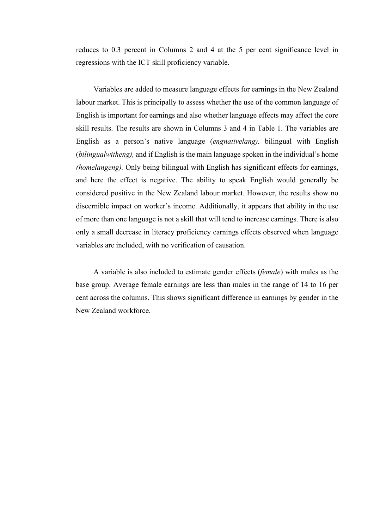reduces to 0.3 percent in Columns 2 and 4 at the 5 per cent significance level in regressions with the ICT skill proficiency variable.

Variables are added to measure language effects for earnings in the New Zealand labour market. This is principally to assess whether the use of the common language of English is important for earnings and also whether language effects may affect the core skill results. The results are shown in Columns 3 and 4 in Table 1. The variables are English as a person's native language (*engnativelang),* bilingual with English (*bilingualwitheng),* and if English is the main language spoken in the individual's home *(homelangeng).* Only being bilingual with English has significant effects for earnings, and here the effect is negative. The ability to speak English would generally be considered positive in the New Zealand labour market. However, the results show no discernible impact on worker's income. Additionally, it appears that ability in the use of more than one language is not a skill that will tend to increase earnings. There is also only a small decrease in literacy proficiency earnings effects observed when language variables are included, with no verification of causation.

A variable is also included to estimate gender effects (*female*) with males as the base group. Average female earnings are less than males in the range of 14 to 16 per cent across the columns. This shows significant difference in earnings by gender in the New Zealand workforce.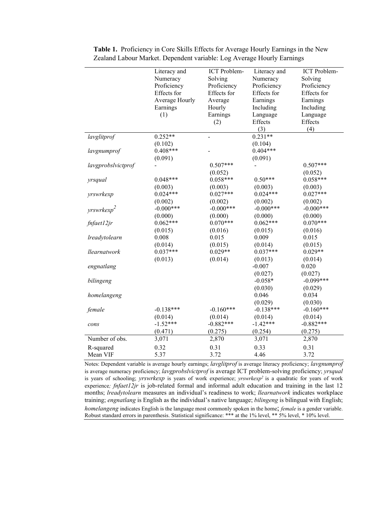|                    | Literacy and   | ICT Problem- | Literacy and | ICT Problem- |
|--------------------|----------------|--------------|--------------|--------------|
|                    | Numeracy       | Solving      | Numeracy     | Solving      |
|                    | Proficiency    | Proficiency  | Proficiency  | Proficiency  |
|                    | Effects for    | Effects for  | Effects for  | Effects for  |
|                    | Average Hourly | Average      | Earnings     | Earnings     |
|                    | Earnings       | Hourly       | Including    | Including    |
|                    | (1)            | Earnings     | Language     | Language     |
|                    |                | (2)          | Effects      | Effects      |
|                    |                |              | (3)          | (4)          |
| lavglitprof        | $0.252**$      |              | $0.231**$    |              |
|                    | (0.102)        |              | (0.104)      |              |
| lavgnumprof        | $0.408***$     |              | $0.404***$   |              |
|                    | (0.091)        |              | (0.091)      |              |
| lavgprobslvictprof |                | $0.507***$   |              | $0.507***$   |
|                    |                | (0.052)      |              | (0.052)      |
| yrsqual            | $0.048***$     | $0.058***$   | $0.50***$    | $0.058***$   |
|                    | (0.003)        | (0.003)      | (0.003)      | (0.003)      |
| yrswrkexp          | $0.024***$     | $0.027***$   | $0.024***$   | $0.027***$   |
|                    | (0.002)        | (0.002)      | (0.002)      | (0.002)      |
| $y$ rswrkex $p^2$  | $-0.000***$    | $-0.000***$  | $-0.000***$  | $-0.000***$  |
|                    | (0.000)        | (0.000)      | (0.000)      | (0.000)      |
| fnfaet12jr         | $0.062***$     | $0.070***$   | $0.062***$   | $0.070***$   |
|                    | (0.015)        | (0.016)      | (0.015)      | (0.016)      |
| lreadytolearn      | 0.008          | 0.015        | 0.009        | 0.015        |
|                    | (0.014)        | (0.015)      | (0.014)      | (0.015)      |
| llearnatwork       | $0.037***$     | $0.029**$    | $0.037***$   | $0.029**$    |
|                    | (0.013)        | (0.014)      | (0.013)      | (0.014)      |
| engnatlang         |                |              | $-0.007$     | 0.020        |
|                    |                |              | (0.027)      | (0.027)      |
| bilingeng          |                |              | $-0.058*$    | $-0.099***$  |
|                    |                |              | (0.030)      | (0.029)      |
| homelangeng        |                |              | 0.046        | 0.034        |
|                    |                |              | (0.029)      | (0.030)      |
| female             | $-0.138***$    | $-0.160***$  | $-0.138***$  | $-0.160***$  |
|                    | (0.014)        | (0.014)      | (0.014)      | (0.014)      |
| cons               | $-1.52***$     | $-0.882***$  | $-1.42***$   | $-0.882***$  |
|                    | (0.471)        | (0.275)      | (0.254)      | (0.275)      |
| Number of obs.     | 3,071          | 2,870        | 3,071        | 2,870        |
|                    |                |              |              |              |
| R-squared          | 0.32           | 0.31         | 0.33         | 0.31         |
| Mean VIF           | 5.37           | 3.72         | 4.46         | 3.72         |

**Table 1.** Proficiency in Core Skills Effects for Average Hourly Earnings in the New Zealand Labour Market. Dependent variable: Log Average Hourly Earnings

Notes: Dependent variable is average hourly earnings; *lavglitprof* is average literacy proficiency; *lavgnumprof*  is average numeracy proficiency; *lavgprobslvictprof* is average ICT problem-solving proficiency; *yrsqual* is years of schooling; *yrswrkexp* is years of work experience; *yrswrkexp*<sup>2</sup> is a quadratic for years of work experience*; fnfaet12jr* is job-related formal and informal adult education and training in the last 12 months; *lreadytolearn* measures an individual's readiness to work; *llearnatwork* indicates workplace training; *engnatlang* is English as the individual's native language; *bilingeng* is bilingual with English; *homelangeng* indicates English is the language most commonly spoken in the home; *female* is a gender variable. Robust standard errors in parenthesis. Statistical significance: \*\*\* at the 1% level, \*\* 5% level, \* 10% level.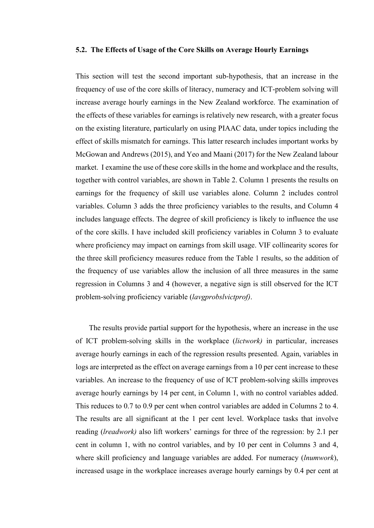#### **5.2. The Effects of Usage of the Core Skills on Average Hourly Earnings**

This section will test the second important sub-hypothesis, that an increase in the frequency of use of the core skills of literacy, numeracy and ICT-problem solving will increase average hourly earnings in the New Zealand workforce. The examination of the effects of these variables for earnings is relatively new research, with a greater focus on the existing literature, particularly on using PIAAC data, under topics including the effect of skills mismatch for earnings. This latter research includes important works by McGowan and Andrews (2015), and Yeo and Maani (2017) for the New Zealand labour market. I examine the use of these core skills in the home and workplace and the results, together with control variables, are shown in Table 2. Column 1 presents the results on earnings for the frequency of skill use variables alone. Column 2 includes control variables. Column 3 adds the three proficiency variables to the results, and Column 4 includes language effects. The degree of skill proficiency is likely to influence the use of the core skills. I have included skill proficiency variables in Column 3 to evaluate where proficiency may impact on earnings from skill usage. VIF collinearity scores for the three skill proficiency measures reduce from the Table 1 results, so the addition of the frequency of use variables allow the inclusion of all three measures in the same regression in Columns 3 and 4 (however, a negative sign is still observed for the ICT problem-solving proficiency variable (*lavgprobslvictprof)*.

The results provide partial support for the hypothesis, where an increase in the use of ICT problem-solving skills in the workplace (*lictwork)* in particular, increases average hourly earnings in each of the regression results presented. Again, variables in logs are interpreted as the effect on average earnings from a 10 per cent increase to these variables. An increase to the frequency of use of ICT problem-solving skills improves average hourly earnings by 14 per cent, in Column 1, with no control variables added. This reduces to 0.7 to 0.9 per cent when control variables are added in Columns 2 to 4. The results are all significant at the 1 per cent level. Workplace tasks that involve reading (*lreadwork)* also lift workers' earnings for three of the regression: by 2.1 per cent in column 1, with no control variables, and by 10 per cent in Columns 3 and 4, where skill proficiency and language variables are added. For numeracy (*lnumwork*), increased usage in the workplace increases average hourly earnings by 0.4 per cent at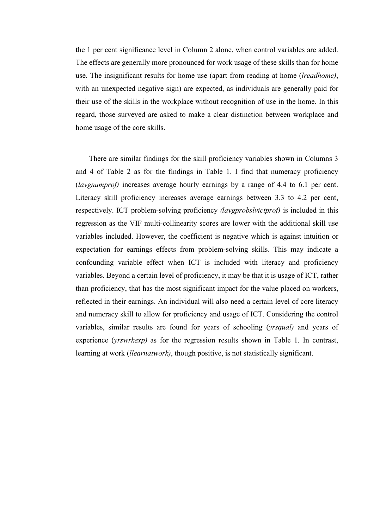the 1 per cent significance level in Column 2 alone, when control variables are added. The effects are generally more pronounced for work usage of these skills than for home use. The insignificant results for home use (apart from reading at home (*lreadhome)*, with an unexpected negative sign) are expected, as individuals are generally paid for their use of the skills in the workplace without recognition of use in the home. In this regard, those surveyed are asked to make a clear distinction between workplace and home usage of the core skills.

There are similar findings for the skill proficiency variables shown in Columns 3 and 4 of Table 2 as for the findings in Table 1. I find that numeracy proficiency (*lavgnumprof)* increases average hourly earnings by a range of 4.4 to 6.1 per cent. Literacy skill proficiency increases average earnings between 3.3 to 4.2 per cent, respectively. ICT problem-solving proficiency *(lavgprobslvictprof)* is included in this regression as the VIF multi-collinearity scores are lower with the additional skill use variables included. However, the coefficient is negative which is against intuition or expectation for earnings effects from problem-solving skills. This may indicate a confounding variable effect when ICT is included with literacy and proficiency variables. Beyond a certain level of proficiency, it may be that it is usage of ICT, rather than proficiency, that has the most significant impact for the value placed on workers, reflected in their earnings. An individual will also need a certain level of core literacy and numeracy skill to allow for proficiency and usage of ICT. Considering the control variables, similar results are found for years of schooling (*yrsqual)* and years of experience (*yrswrkexp)* as for the regression results shown in Table 1. In contrast, learning at work (*llearnatwork)*, though positive, is not statistically significant.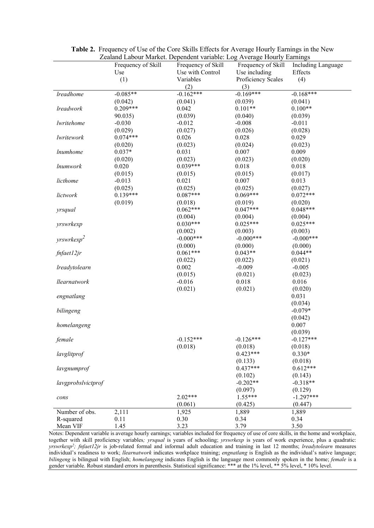|                    | 20 martii 2000 martii Dependent variable. 20g Teverage Hourry 20 mings |                    |                    |                    |
|--------------------|------------------------------------------------------------------------|--------------------|--------------------|--------------------|
|                    | Frequency of Skill                                                     | Frequency of Skill | Frequency of Skill | Including Language |
|                    | Use                                                                    | Use with Control   | Use including      | Effects            |
|                    | (1)                                                                    | Variables          | Proficiency Scales | (4)                |
|                    |                                                                        | (2)                | (3)                |                    |
| lreadhome          | $-0.085**$                                                             | $-0.162***$        | $-0.169***$        | $-0.168***$        |
|                    | (0.042)                                                                | (0.041)            | (0.039)            | (0.041)            |
| lreadwork          | $0.209***$                                                             | 0.042              | $0.101**$          | $0.100**$          |
|                    | 90.035)                                                                | (0.039)            | (0.040)            | (0.039)            |
| lwritehome         | $-0.030$                                                               | $-0.012$           | $-0.008$           | $-0.011$           |
|                    | (0.029)                                                                | (0.027)            | (0.026)            | (0.028)            |
| lwritework         | $0.074***$                                                             | 0.026              | 0.028              | 0.029              |
|                    | (0.020)                                                                | (0.023)            | (0.024)            | (0.023)            |
| <i>lnumhome</i>    | $0.037*$                                                               | 0.031              | 0.007              | 0.009              |
|                    | (0.020)                                                                | (0.023)            | (0.023)            | (0.020)            |
| <i>lnumwork</i>    | 0.020                                                                  | $0.039***$         | 0.018              | 0.018              |
|                    | (0.015)                                                                | (0.015)            | (0.015)            | (0.017)            |
| licthome           | $-0.013$                                                               | 0.021              | 0.007              | 0.013              |
|                    | (0.025)                                                                | (0.025)            | (0.025)            | (0.027)            |
| lictwork           | $0.139***$                                                             | $0.087***$         | $0.069***$         | $0.072***$         |
|                    | (0.019)                                                                | (0.018)            | (0.019)            | (0.020)            |
| yrsqual            |                                                                        | $0.062***$         | $0.047***$         | $0.048***$         |
|                    |                                                                        | (0.004)            | (0.004)            | (0.004)            |
| yrswrkexp          |                                                                        | $0.030***$         | $0.025***$         | $0.025***$         |
|                    |                                                                        | (0.002)            | (0.003)            | (0.003)            |
| $y$ rswrkex $p^2$  |                                                                        | $-0.000***$        | $-0.000***$        | $-0.000***$        |
|                    |                                                                        | (0.000)            | (0.000)            | (0.000)            |
| fnfaet12jr         |                                                                        | $0.061***$         | $0.043**$          | $0.044**$          |
|                    |                                                                        | (0.022)            | (0.022)            | (0.021)            |
| lreadytolearn      |                                                                        | 0.002              | $-0.009$           | $-0.005$           |
|                    |                                                                        | (0.015)            | (0.021)            | (0.023)            |
|                    |                                                                        | $-0.016$           | 0.018              | 0.016              |
| llearnatwork       |                                                                        | (0.021)            |                    |                    |
|                    |                                                                        |                    | (0.021)            | (0.020)            |
| engnatlang         |                                                                        |                    |                    | 0.031              |
|                    |                                                                        |                    |                    | (0.034)            |
| bilingeng          |                                                                        |                    |                    | $-0.079*$          |
|                    |                                                                        |                    |                    | (0.042)            |
| homelangeng        |                                                                        |                    |                    | 0.007              |
|                    |                                                                        |                    |                    | (0.039)            |
| female             |                                                                        | $-0.152***$        | $-0.126***$        | $-0.127***$        |
|                    |                                                                        | (0.018)            | (0.018)            | (0.018)            |
| lavglitprof        |                                                                        |                    | $0.423***$         | $0.330*$           |
|                    |                                                                        |                    | (0.133)            | (0.018)            |
| lavgnumprof        |                                                                        |                    | $0.437***$         | $0.612***$         |
|                    |                                                                        |                    | (0.102)            | (0.143)            |
| lavgprobslvictprof |                                                                        |                    | $-0.202**$         | $-0.318**$         |
|                    |                                                                        |                    | (0.097)            | (0.129)            |
| cons               |                                                                        | $2.02***$          | $1.55***$          | $-1.297***$        |
|                    |                                                                        | (0.061)            | (0.425)            | (0.447)            |
| Number of obs.     | 2,111                                                                  | 1,925              | 1,889              | 1,889              |
| R-squared          | 0.11                                                                   | 0.30               | 0.34               | 0.34               |
| Mean VIF           | 1.45                                                                   | 3.23               | 3.79               | 3.50               |

**Table 2.** Frequency of Use of the Core Skills Effects for Average Hourly Earnings in the New Zealand Labour Market. Dependent variable: Log Average Hourly Earnings

Notes: Dependent variable is average hourly earnings; variables included for frequency of use of core skills, in the home and workplace, together with skill proficiency variables*; yrsqual* is years of schooling; *yrswrkexp* is years of work experience, plus a quadratic: *yrswrkexp2; fnfaet12jr* is job-related formal and informal adult education and training in last 12 months; *lreadytolearn* measures individual's readiness to work; *llearnatwork* indicates workplace training; *engnatlang* is English as the individual's native language; *bilingeng* is bilingual with English; *homelangeng* indicates English is the language most commonly spoken in the home; *female* is a gender variable. Robust standard errors in parenthesis. Statistical significance: \*\*\* at the 1% level, \*\* 5% level, \* 10% level.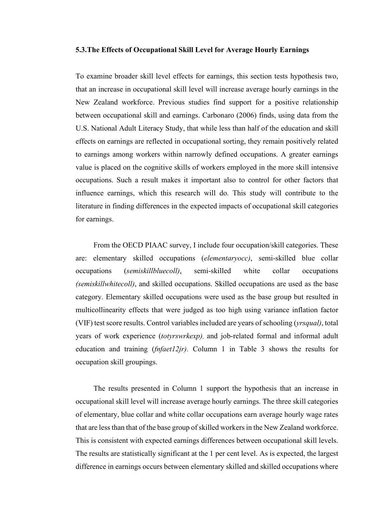#### **5.3.The Effects of Occupational Skill Level for Average Hourly Earnings**

To examine broader skill level effects for earnings, this section tests hypothesis two, that an increase in occupational skill level will increase average hourly earnings in the New Zealand workforce. Previous studies find support for a positive relationship between occupational skill and earnings. Carbonaro (2006) finds, using data from the U.S. National Adult Literacy Study, that while less than half of the education and skill effects on earnings are reflected in occupational sorting, they remain positively related to earnings among workers within narrowly defined occupations. A greater earnings value is placed on the cognitive skills of workers employed in the more skill intensive occupations. Such a result makes it important also to control for other factors that influence earnings, which this research will do. This study will contribute to the literature in finding differences in the expected impacts of occupational skill categories for earnings.

From the OECD PIAAC survey, I include four occupation/skill categories. These are: elementary skilled occupations (*elementaryocc)*, semi-skilled blue collar occupations (*semiskillbluecoll)*, semi-skilled white collar occupations *(semiskillwhitecoll)*, and skilled occupations. Skilled occupations are used as the base category. Elementary skilled occupations were used as the base group but resulted in multicollinearity effects that were judged as too high using variance inflation factor (VIF) test score results. Control variables included are years of schooling (*yrsqual)*, total years of work experience (*totyrswrkexp),* and job-related formal and informal adult education and training (*fnfaet12jr).* Column 1 in Table 3 shows the results for occupation skill groupings.

The results presented in Column 1 support the hypothesis that an increase in occupational skill level will increase average hourly earnings. The three skill categories of elementary, blue collar and white collar occupations earn average hourly wage rates that are less than that of the base group of skilled workers in the New Zealand workforce. This is consistent with expected earnings differences between occupational skill levels. The results are statistically significant at the 1 per cent level. As is expected, the largest difference in earnings occurs between elementary skilled and skilled occupations where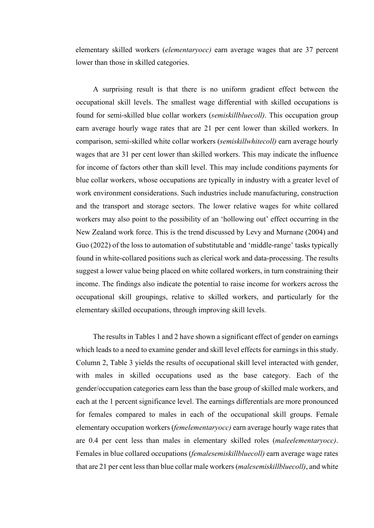elementary skilled workers (*elementaryocc)* earn average wages that are 37 percent lower than those in skilled categories.

A surprising result is that there is no uniform gradient effect between the occupational skill levels. The smallest wage differential with skilled occupations is found for semi-skilled blue collar workers (*semiskillbluecoll)*. This occupation group earn average hourly wage rates that are 21 per cent lower than skilled workers. In comparison, semi-skilled white collar workers (*semiskillwhitecoll)* earn average hourly wages that are 31 per cent lower than skilled workers. This may indicate the influence for income of factors other than skill level. This may include conditions payments for blue collar workers, whose occupations are typically in industry with a greater level of work environment considerations. Such industries include manufacturing, construction and the transport and storage sectors. The lower relative wages for white collared workers may also point to the possibility of an 'hollowing out' effect occurring in the New Zealand work force. This is the trend discussed by Levy and Murnane (2004) and Guo (2022) of the loss to automation of substitutable and 'middle-range' tasks typically found in white-collared positions such as clerical work and data-processing. The results suggest a lower value being placed on white collared workers, in turn constraining their income. The findings also indicate the potential to raise income for workers across the occupational skill groupings, relative to skilled workers, and particularly for the elementary skilled occupations, through improving skill levels.

The results in Tables 1 and 2 have shown a significant effect of gender on earnings which leads to a need to examine gender and skill level effects for earnings in this study. Column 2, Table 3 yields the results of occupational skill level interacted with gender, with males in skilled occupations used as the base category. Each of the gender/occupation categories earn less than the base group of skilled male workers, and each at the 1 percent significance level. The earnings differentials are more pronounced for females compared to males in each of the occupational skill groups. Female elementary occupation workers (*femelementaryocc)* earn average hourly wage rates that are 0.4 per cent less than males in elementary skilled roles (*maleelementaryocc)*. Females in blue collared occupations (*femalesemiskillbluecoll)* earn average wage rates that are 21 per cent less than blue collar male workers (*malesemiskillbluecoll)*, and white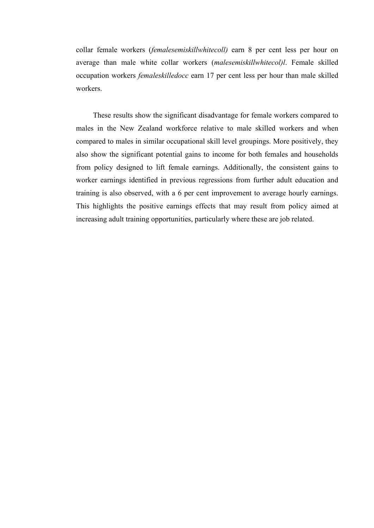collar female workers (*femalesemiskillwhitecoll)* earn 8 per cent less per hour on average than male white collar workers (*malesemiskillwhitecol)l*. Female skilled occupation workers *femaleskilledocc* earn 17 per cent less per hour than male skilled workers.

These results show the significant disadvantage for female workers compared to males in the New Zealand workforce relative to male skilled workers and when compared to males in similar occupational skill level groupings. More positively, they also show the significant potential gains to income for both females and households from policy designed to lift female earnings. Additionally, the consistent gains to worker earnings identified in previous regressions from further adult education and training is also observed, with a 6 per cent improvement to average hourly earnings. This highlights the positive earnings effects that may result from policy aimed at increasing adult training opportunities, particularly where these are job related.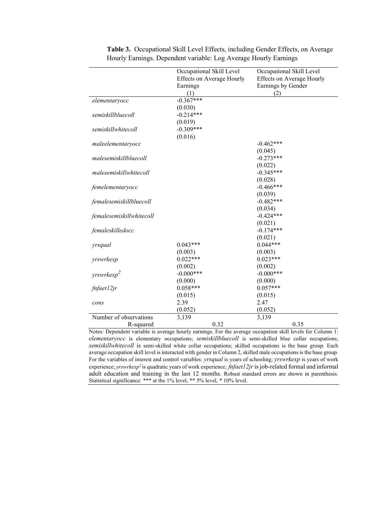|                          | Occupational Skill Level         | Occupational Skill Level         |
|--------------------------|----------------------------------|----------------------------------|
|                          | <b>Effects on Average Hourly</b> | <b>Effects on Average Hourly</b> |
|                          | Earnings                         | Earnings by Gender               |
|                          | (1)                              | (2)                              |
| elementaryocc            | $-0.367***$                      |                                  |
|                          | (0.030)                          |                                  |
| semiskillbluecoll        | $-0.214***$                      |                                  |
|                          | (0.019)                          |                                  |
| semiskillwhitecoll       | $-0.309***$                      |                                  |
|                          | (0.016)                          |                                  |
| maleelementaryocc        |                                  | $-0.462***$                      |
|                          |                                  | (0.045)                          |
| malesemiskillbluecoll    |                                  | $-0.273***$                      |
|                          |                                  | (0.022)                          |
| malesemiskillwhitecoll   |                                  | $-0.345***$                      |
|                          |                                  | (0.028)                          |
| femelementaryocc         |                                  | $-0.466***$                      |
|                          |                                  | (0.039)                          |
| femalesemiskillbluecoll  |                                  | $-0.482***$                      |
|                          |                                  | (0.034)                          |
| femalesemiskillwhitecoll |                                  | $-0.424***$                      |
|                          |                                  | (0.021)                          |
| femaleskilledocc         |                                  | $-0.174***$                      |
|                          |                                  | (0.021)                          |
| yrsqual                  | $0.043***$                       | $0.044***$                       |
|                          | (0.003)                          | (0.003)                          |
| yrswrkexp                | $0.022***$                       | $0.023***$                       |
|                          | (0.002)                          | (0.002)                          |
|                          | $-0.000***$                      | $-0.000***$                      |
| $y$ rswrkex $p^2$        | (0.000)                          | (0.000)                          |
| fnfaet12jr               | $0.058***$                       | $0.057***$                       |
|                          | (0.015)                          | (0.015)                          |
|                          | 2.39                             | 2.47                             |
| cons                     | (0.052)                          | (0.052)                          |
| Number of observations   | 3,139                            | 3,139                            |
| R-squared                | 0.32                             | 0.35                             |
|                          |                                  |                                  |

**Table 3.** Occupational Skill Level Effects, including Gender Effects, on Average Hourly Earnings. Dependent variable: Log Average Hourly Earnings

Notes: Dependent variable is average hourly earnings. For the average occupation skill levels for Column 1: *elementaryocc* is elementary occupations; *semiskillbluecoll* is semi-skilled blue collar occupations; *semiskillwhitecoll* is semi-skilled white collar occupations; skilled occupations is the base group. Each average occupation skill level is interacted with gender in Column 2, skilled male occupations is the base group. For the variables of interest and control variables: *yrsqual* is years of schooling; *yrswrkexp* is years of work experience; *yrswrkexp2* is quadratic years of work experience*; fnfaet12jr* is job-related formal and informal adult education and training in the last 12 months. Robust standard errors are shown in parenthesis. Statistical significance: \*\*\* at the 1% level, \*\* 5% level, \* 10% level.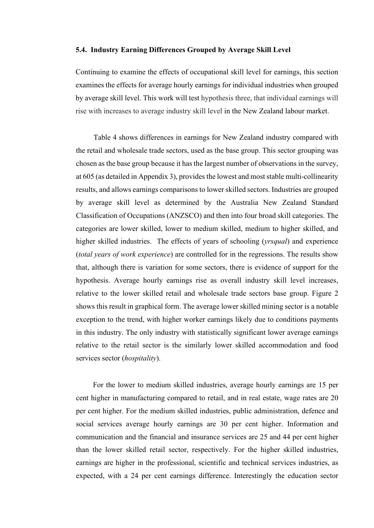### **5.4. Industry Earning Differences Grouped by Average Skill Level**

Continuing to examine the effects of occupational skill level for earnings, this section examines the effects for average hourly earnings for individual industries when grouped by average skill level. This work will test hypothesis three, that individual earnings will rise with increases to average industry skill level in the New Zealand labour market.

Table 4 shows differences in earnings for New Zealand industry compared with the retail and wholesale trade sectors, used as the base group. This sector grouping was chosen as the base group because it has the largest number of observations in the survey, at 605 (as detailed in Appendix 3), provides the lowest and most stable multi-collinearity results, and allows earnings comparisons to lower skilled sectors. Industries are grouped by average skill level as determined by the Australia New Zealand Standard Classification of Occupations (ANZSCO) and then into four broad skill categories. The categories are lower skilled, lower to medium skilled, medium to higher skilled, and higher skilled industries. The effects of years of schooling (*yrsqual*) and experience (*total years of work experience*) are controlled for in the regressions. The results show that, although there is variation for some sectors, there is evidence of support for the hypothesis. Average hourly earnings rise as overall industry skill level increases, relative to the lower skilled retail and wholesale trade sectors base group. Figure 2 shows this result in graphical form. The average lower skilled mining sector is a notable exception to the trend, with higher worker earnings likely due to conditions payments in this industry. The only industry with statistically significant lower average earnings relative to the retail sector is the similarly lower skilled accommodation and food services sector (*hospitality*).

For the lower to medium skilled industries, average hourly earnings are 15 per cent higher in manufacturing compared to retail, and in real estate, wage rates are 20 per cent higher. For the medium skilled industries, public administration, defence and social services average hourly earnings are 30 per cent higher. Information and communication and the financial and insurance services are 25 and 44 per cent higher than the lower skilled retail sector, respectively. For the higher skilled industries, earnings are higher in the professional, scientific and technical services industries, as expected, with a 24 per cent earnings difference. Interestingly the education sector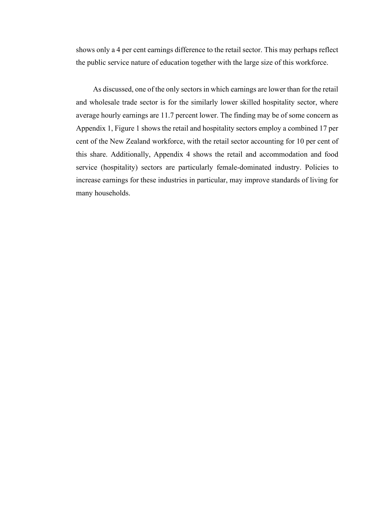shows only a 4 per cent earnings difference to the retail sector. This may perhaps reflect the public service nature of education together with the large size of this workforce.

As discussed, one of the only sectors in which earnings are lower than for the retail and wholesale trade sector is for the similarly lower skilled hospitality sector, where average hourly earnings are 11.7 percent lower. The finding may be of some concern as Appendix 1, Figure 1 shows the retail and hospitality sectors employ a combined 17 per cent of the New Zealand workforce, with the retail sector accounting for 10 per cent of this share. Additionally, Appendix 4 shows the retail and accommodation and food service (hospitality) sectors are particularly female-dominated industry. Policies to increase earnings for these industries in particular, may improve standards of living for many households.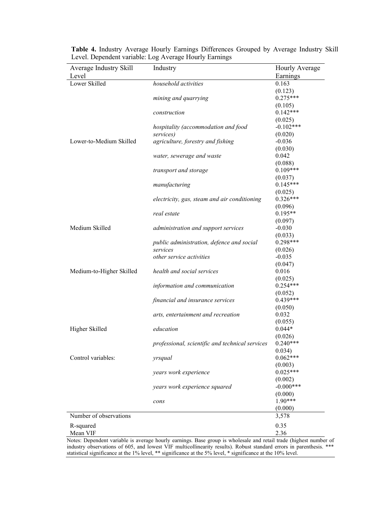| Average Industry Skill   | Industry                                        | Hourly Average        |
|--------------------------|-------------------------------------------------|-----------------------|
| Level                    |                                                 | Earnings              |
| Lower Skilled            | household activities                            | 0.163                 |
|                          |                                                 | (0.123)               |
|                          | mining and quarrying                            | $0.275***$            |
|                          |                                                 | (0.105)               |
|                          | construction                                    | $0.142***$            |
|                          |                                                 | (0.025)               |
|                          | hospitality (accommodation and food             | $-0.102***$           |
|                          | services)                                       | (0.020)               |
| Lower-to-Medium Skilled  | agriculture, forestry and fishing               | $-0.036$              |
|                          |                                                 | (0.030)               |
|                          | water, sewerage and waste                       | 0.042                 |
|                          |                                                 | (0.088)               |
|                          | transport and storage                           | $0.109***$            |
|                          |                                                 | (0.037)               |
|                          | manufacturing                                   | $0.145***$            |
|                          |                                                 |                       |
|                          | electricity, gas, steam and air conditioning    | (0.025)<br>$0.326***$ |
|                          |                                                 |                       |
|                          |                                                 | (0.096)<br>$0.195**$  |
|                          | real estate                                     |                       |
|                          |                                                 | (0.097)               |
| Medium Skilled           | administration and support services             | $-0.030$              |
|                          |                                                 | (0.033)               |
|                          | public administration, defence and social       | $0.298***$            |
|                          | services                                        | (0.026)               |
|                          | other service activities                        | $-0.035$              |
|                          |                                                 | (0.047)               |
| Medium-to-Higher Skilled | health and social services                      | 0.016                 |
|                          |                                                 | (0.025)               |
|                          | information and communication                   | $0.254***$            |
|                          |                                                 | (0.052)               |
|                          | financial and insurance services                | $0.439***$            |
|                          |                                                 | (0.050)               |
|                          | arts, entertainment and recreation              | 0.032                 |
|                          |                                                 | (0.055)               |
| Higher Skilled           | education                                       | $0.044*$              |
|                          |                                                 | (0.026)               |
|                          | professional, scientific and technical services | $0.240***$            |
|                          |                                                 | 0.034)                |
| Control variables:       | yrsqual                                         | $0.062***$            |
|                          |                                                 | (0.003)               |
|                          | years work experience                           | $0.025***$            |
|                          |                                                 | (0.002)               |
|                          | years work experience squared                   | $-0.000***$           |
|                          |                                                 | (0.000)               |
|                          | cons                                            | $1.90***$             |
|                          |                                                 | (0.000)               |
| Number of observations   |                                                 | 3,578                 |
|                          |                                                 |                       |
| R-squared                |                                                 | 0.35                  |
| Mean VIF                 |                                                 | 2.36                  |

**Table 4.** Industry Average Hourly Earnings Differences Grouped by Average Industry Skill Level. Dependent variable: Log Average Hourly Earnings

Notes: Dependent variable is average hourly earnings. Base group is wholesale and retail trade (highest number of industry observations of 605, and lowest VIF multicollinearity results). Robust standard errors in parenthesis. \*\*\* statistical significance at the 1% level, \*\* significance at the 5% level, \* significance at the 10% level.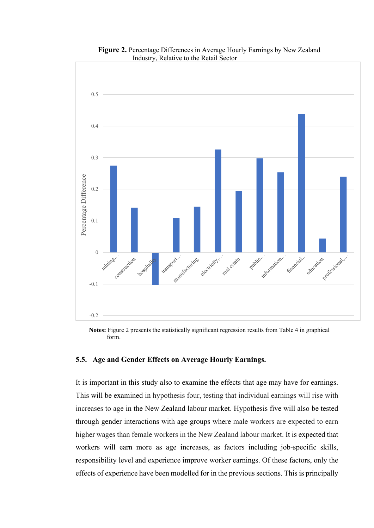

**Figure 2.** Percentage Differences in Average Hourly Earnings by New Zealand Industry, Relative to the Retail Sector

**Notes:** Figure 2 presents the statistically significant regression results from Table 4 in graphical form.

## **5.5. Age and Gender Effects on Average Hourly Earnings.**

It is important in this study also to examine the effects that age may have for earnings. This will be examined in hypothesis four, testing that individual earnings will rise with increases to age in the New Zealand labour market. Hypothesis five will also be tested through gender interactions with age groups where male workers are expected to earn higher wages than female workers in the New Zealand labour market. It is expected that workers will earn more as age increases, as factors including job-specific skills, responsibility level and experience improve worker earnings. Of these factors, only the effects of experience have been modelled for in the previous sections. This is principally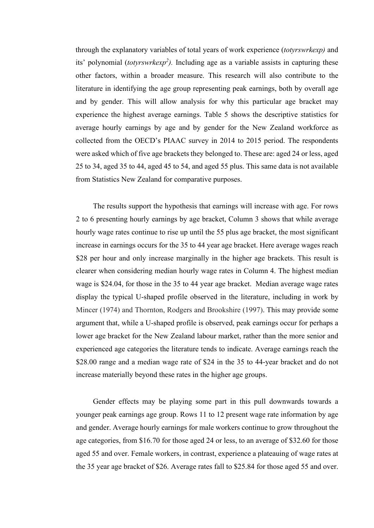through the explanatory variables of total years of work experience (*totyrswrkexp)* and its' polynomial (*totyrswrkexp2 ).* Including age as a variable assists in capturing these other factors, within a broader measure. This research will also contribute to the literature in identifying the age group representing peak earnings, both by overall age and by gender. This will allow analysis for why this particular age bracket may experience the highest average earnings. Table 5 shows the descriptive statistics for average hourly earnings by age and by gender for the New Zealand workforce as collected from the OECD's PIAAC survey in 2014 to 2015 period. The respondents were asked which of five age brackets they belonged to. These are: aged 24 or less, aged 25 to 34, aged 35 to 44, aged 45 to 54, and aged 55 plus. This same data is not available from Statistics New Zealand for comparative purposes.

The results support the hypothesis that earnings will increase with age. For rows 2 to 6 presenting hourly earnings by age bracket, Column 3 shows that while average hourly wage rates continue to rise up until the 55 plus age bracket, the most significant increase in earnings occurs for the 35 to 44 year age bracket. Here average wages reach \$28 per hour and only increase marginally in the higher age brackets. This result is clearer when considering median hourly wage rates in Column 4. The highest median wage is \$24.04, for those in the 35 to 44 year age bracket. Median average wage rates display the typical U-shaped profile observed in the literature, including in work by Mincer (1974) and Thornton, Rodgers and Brookshire (1997). This may provide some argument that, while a U-shaped profile is observed, peak earnings occur for perhaps a lower age bracket for the New Zealand labour market, rather than the more senior and experienced age categories the literature tends to indicate. Average earnings reach the \$28.00 range and a median wage rate of \$24 in the 35 to 44-year bracket and do not increase materially beyond these rates in the higher age groups.

Gender effects may be playing some part in this pull downwards towards a younger peak earnings age group. Rows 11 to 12 present wage rate information by age and gender. Average hourly earnings for male workers continue to grow throughout the age categories, from \$16.70 for those aged 24 or less, to an average of \$32.60 for those aged 55 and over. Female workers, in contrast, experience a plateauing of wage rates at the 35 year age bracket of \$26. Average rates fall to \$25.84 for those aged 55 and over.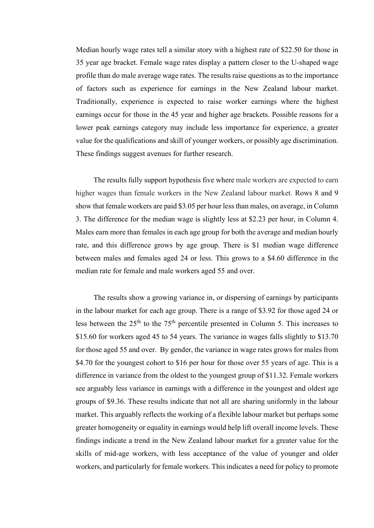Median hourly wage rates tell a similar story with a highest rate of \$22.50 for those in 35 year age bracket. Female wage rates display a pattern closer to the U-shaped wage profile than do male average wage rates. The results raise questions as to the importance of factors such as experience for earnings in the New Zealand labour market. Traditionally, experience is expected to raise worker earnings where the highest earnings occur for those in the 45 year and higher age brackets. Possible reasons for a lower peak earnings category may include less importance for experience, a greater value for the qualifications and skill of younger workers, or possibly age discrimination. These findings suggest avenues for further research.

The results fully support hypothesis five where male workers are expected to earn higher wages than female workers in the New Zealand labour market. Rows 8 and 9 show that female workers are paid \$3.05 per hour less than males, on average, in Column 3. The difference for the median wage is slightly less at \$2.23 per hour, in Column 4. Males earn more than females in each age group for both the average and median hourly rate, and this difference grows by age group. There is \$1 median wage difference between males and females aged 24 or less. This grows to a \$4.60 difference in the median rate for female and male workers aged 55 and over.

The results show a growing variance in, or dispersing of earnings by participants in the labour market for each age group. There is a range of \$3.92 for those aged 24 or less between the  $25<sup>th</sup>$  to the  $75<sup>th</sup>$  percentile presented in Column 5. This increases to \$15.60 for workers aged 45 to 54 years. The variance in wages falls slightly to \$13.70 for those aged 55 and over. By gender, the variance in wage rates grows for males from \$4.70 for the youngest cohort to \$16 per hour for those over 55 years of age. This is a difference in variance from the oldest to the youngest group of \$11.32. Female workers see arguably less variance in earnings with a difference in the youngest and oldest age groups of \$9.36. These results indicate that not all are sharing uniformly in the labour market. This arguably reflects the working of a flexible labour market but perhaps some greater homogeneity or equality in earnings would help lift overall income levels. These findings indicate a trend in the New Zealand labour market for a greater value for the skills of mid-age workers, with less acceptance of the value of younger and older workers, and particularly for female workers. This indicates a need for policy to promote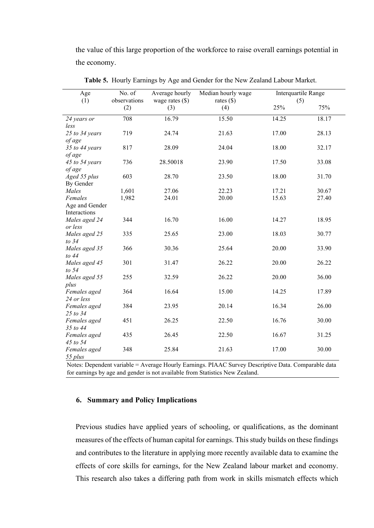the value of this large proportion of the workforce to raise overall earnings potential in the economy.

| Age<br>(1)                | No. of<br>observations | Average hourly<br>wage rates $(\$)$ | Median hourly wage<br>rates $(\$)$ | Interquartile Range<br>(5) |       |
|---------------------------|------------------------|-------------------------------------|------------------------------------|----------------------------|-------|
|                           | (2)                    | (3)                                 | (4)                                | 25%                        | 75%   |
| 24 years or               | 708                    | 16.79                               | 15.50                              | 14.25                      | 18.17 |
| less<br>25 to 34 years    | 719                    | 24.74                               | 21.63                              | 17.00                      | 28.13 |
| of age                    |                        |                                     |                                    |                            |       |
| 35 to 44 years            | 817                    | 28.09                               | 24.04                              | 18.00                      | 32.17 |
| of age                    |                        |                                     |                                    |                            |       |
| 45 to 54 years            | 736                    | 28.50018                            | 23.90                              | 17.50                      | 33.08 |
| of age                    | 603                    | 28.70                               | 23.50                              | 18.00                      | 31.70 |
| Aged 55 plus<br>By Gender |                        |                                     |                                    |                            |       |
| Males                     | 1,601                  | 27.06                               | 22.23                              | 17.21                      | 30.67 |
| Females                   | 1,982                  | 24.01                               | 20.00                              | 15.63                      | 27.40 |
| Age and Gender            |                        |                                     |                                    |                            |       |
| Interactions              |                        |                                     |                                    |                            |       |
| Males aged 24<br>or less  | 344                    | 16.70                               | 16.00                              | 14.27                      | 18.95 |
| Males aged 25             | 335                    | 25.65                               | 23.00                              | 18.03                      | 30.77 |
| to 34                     |                        |                                     |                                    |                            |       |
| Males aged 35             | 366                    | 30.36                               | 25.64                              | 20.00                      | 33.90 |
| to $44$                   |                        |                                     |                                    |                            |       |
| Males aged 45<br>to $54$  | 301                    | 31.47                               | 26.22                              | 20.00                      | 26.22 |
| Males aged 55             | 255                    | 32.59                               | 26.22                              | 20.00                      | 36.00 |
| plus                      |                        |                                     |                                    |                            |       |
| Females aged              | 364                    | 16.64                               | 15.00                              | 14.25                      | 17.89 |
| 24 or less                |                        |                                     |                                    |                            |       |
| Females aged<br>25 to 34  | 384                    | 23.95                               | 20.14                              | 16.34                      | 26.00 |
| Females aged              | 451                    | 26.25                               | 22.50                              | 16.76                      | 30.00 |
| 35 to 44                  |                        |                                     |                                    |                            |       |
| Females aged              | 435                    | 26.45                               | 22.50                              | 16.67                      | 31.25 |
| 45 to 54                  |                        |                                     |                                    |                            |       |
| Females aged              | 348                    | 25.84                               | 21.63                              | 17.00                      | 30.00 |
| 55 plus                   |                        |                                     |                                    |                            |       |

**Table 5.** Hourly Earnings by Age and Gender for the New Zealand Labour Market.

Notes: Dependent variable = Average Hourly Earnings. PIAAC Survey Descriptive Data. Comparable data for earnings by age and gender is not available from Statistics New Zealand.

# **6. Summary and Policy Implications**

Previous studies have applied years of schooling, or qualifications, as the dominant measures of the effects of human capital for earnings. This study builds on these findings and contributes to the literature in applying more recently available data to examine the effects of core skills for earnings, for the New Zealand labour market and economy. This research also takes a differing path from work in skills mismatch effects which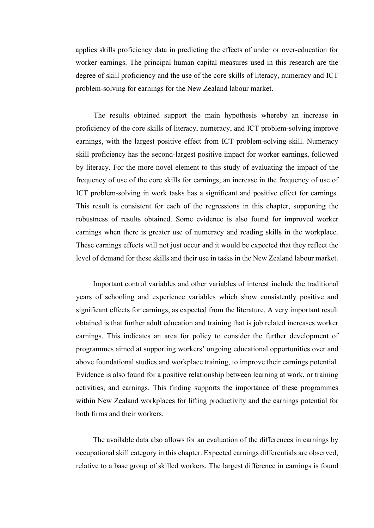applies skills proficiency data in predicting the effects of under or over-education for worker earnings. The principal human capital measures used in this research are the degree of skill proficiency and the use of the core skills of literacy, numeracy and ICT problem-solving for earnings for the New Zealand labour market.

The results obtained support the main hypothesis whereby an increase in proficiency of the core skills of literacy, numeracy, and ICT problem-solving improve earnings, with the largest positive effect from ICT problem-solving skill. Numeracy skill proficiency has the second-largest positive impact for worker earnings, followed by literacy. For the more novel element to this study of evaluating the impact of the frequency of use of the core skills for earnings, an increase in the frequency of use of ICT problem-solving in work tasks has a significant and positive effect for earnings. This result is consistent for each of the regressions in this chapter, supporting the robustness of results obtained. Some evidence is also found for improved worker earnings when there is greater use of numeracy and reading skills in the workplace. These earnings effects will not just occur and it would be expected that they reflect the level of demand for these skills and their use in tasks in the New Zealand labour market.

Important control variables and other variables of interest include the traditional years of schooling and experience variables which show consistently positive and significant effects for earnings, as expected from the literature. A very important result obtained is that further adult education and training that is job related increases worker earnings. This indicates an area for policy to consider the further development of programmes aimed at supporting workers' ongoing educational opportunities over and above foundational studies and workplace training, to improve their earnings potential. Evidence is also found for a positive relationship between learning at work, or training activities, and earnings. This finding supports the importance of these programmes within New Zealand workplaces for lifting productivity and the earnings potential for both firms and their workers.

The available data also allows for an evaluation of the differences in earnings by occupational skill category in this chapter. Expected earnings differentials are observed, relative to a base group of skilled workers. The largest difference in earnings is found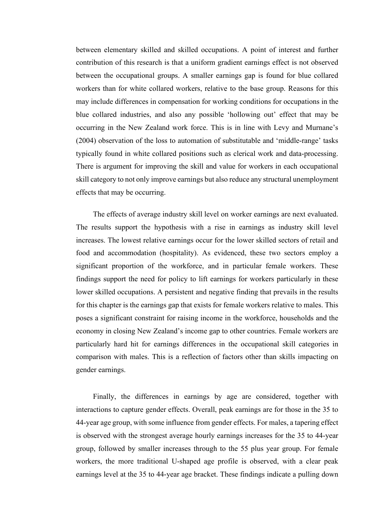between elementary skilled and skilled occupations. A point of interest and further contribution of this research is that a uniform gradient earnings effect is not observed between the occupational groups. A smaller earnings gap is found for blue collared workers than for white collared workers, relative to the base group. Reasons for this may include differences in compensation for working conditions for occupations in the blue collared industries, and also any possible 'hollowing out' effect that may be occurring in the New Zealand work force. This is in line with Levy and Murnane's (2004) observation of the loss to automation of substitutable and 'middle-range' tasks typically found in white collared positions such as clerical work and data-processing. There is argument for improving the skill and value for workers in each occupational skill category to not only improve earnings but also reduce any structural unemployment effects that may be occurring.

The effects of average industry skill level on worker earnings are next evaluated. The results support the hypothesis with a rise in earnings as industry skill level increases. The lowest relative earnings occur for the lower skilled sectors of retail and food and accommodation (hospitality). As evidenced, these two sectors employ a significant proportion of the workforce, and in particular female workers. These findings support the need for policy to lift earnings for workers particularly in these lower skilled occupations. A persistent and negative finding that prevails in the results for this chapter is the earnings gap that exists for female workers relative to males. This poses a significant constraint for raising income in the workforce, households and the economy in closing New Zealand's income gap to other countries. Female workers are particularly hard hit for earnings differences in the occupational skill categories in comparison with males. This is a reflection of factors other than skills impacting on gender earnings.

Finally, the differences in earnings by age are considered, together with interactions to capture gender effects. Overall, peak earnings are for those in the 35 to 44-year age group, with some influence from gender effects. For males, a tapering effect is observed with the strongest average hourly earnings increases for the 35 to 44-year group, followed by smaller increases through to the 55 plus year group. For female workers, the more traditional U-shaped age profile is observed, with a clear peak earnings level at the 35 to 44-year age bracket. These findings indicate a pulling down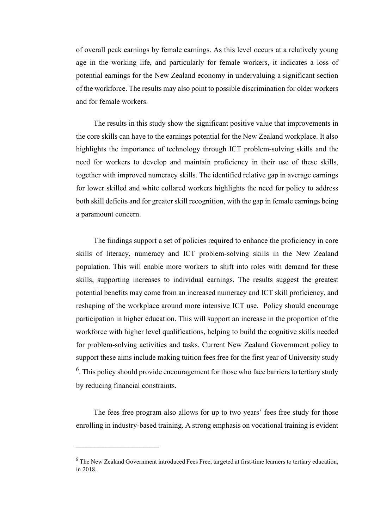of overall peak earnings by female earnings. As this level occurs at a relatively young age in the working life, and particularly for female workers, it indicates a loss of potential earnings for the New Zealand economy in undervaluing a significant section of the workforce. The results may also point to possible discrimination for older workers and for female workers.

The results in this study show the significant positive value that improvements in the core skills can have to the earnings potential for the New Zealand workplace. It also highlights the importance of technology through ICT problem-solving skills and the need for workers to develop and maintain proficiency in their use of these skills, together with improved numeracy skills. The identified relative gap in average earnings for lower skilled and white collared workers highlights the need for policy to address both skill deficits and for greater skill recognition, with the gap in female earnings being a paramount concern.

The findings support a set of policies required to enhance the proficiency in core skills of literacy, numeracy and ICT problem-solving skills in the New Zealand population. This will enable more workers to shift into roles with demand for these skills, supporting increases to individual earnings. The results suggest the greatest potential benefits may come from an increased numeracy and ICT skill proficiency, and reshaping of the workplace around more intensive ICT use. Policy should encourage participation in higher education. This will support an increase in the proportion of the workforce with higher level qualifications, helping to build the cognitive skills needed for problem-solving activities and tasks. Current New Zealand Government policy to support these aims include making tuition fees free for the first year of University study  $6$ . This policy should provide encouragement for those who face barriers to tertiary study by reducing financial constraints.

The fees free program also allows for up to two years' fees free study for those enrolling in industry-based training. A strong emphasis on vocational training is evident

 $\overline{\phantom{a}}$ 

 $<sup>6</sup>$  The New Zealand Government introduced Fees Free, targeted at first-time learners to tertiary education,</sup> in 2018.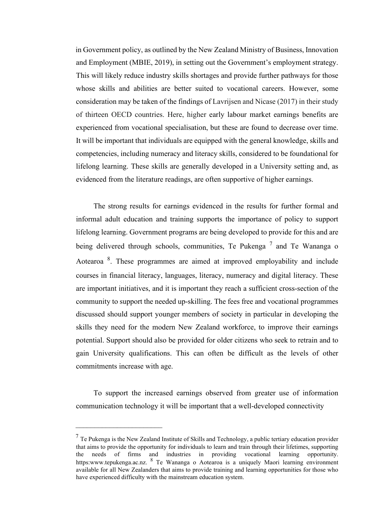in Government policy, as outlined by the New Zealand Ministry of Business, Innovation and Employment (MBIE, 2019), in setting out the Government's employment strategy. This will likely reduce industry skills shortages and provide further pathways for those whose skills and abilities are better suited to vocational careers. However, some consideration may be taken of the findings of Lavrijsen and Nicase (2017) in their study of thirteen OECD countries. Here, higher early labour market earnings benefits are experienced from vocational specialisation, but these are found to decrease over time. It will be important that individuals are equipped with the general knowledge, skills and competencies, including numeracy and literacy skills, considered to be foundational for lifelong learning. These skills are generally developed in a University setting and, as evidenced from the literature readings, are often supportive of higher earnings.

The strong results for earnings evidenced in the results for further formal and informal adult education and training supports the importance of policy to support lifelong learning. Government programs are being developed to provide for this and are being delivered through schools, communities, Te Pukenga  $^7$  and Te Wananga o Aotearoa<sup>8</sup>. These programmes are aimed at improved employability and include courses in financial literacy, languages, literacy, numeracy and digital literacy. These are important initiatives, and it is important they reach a sufficient cross-section of the community to support the needed up-skilling. The fees free and vocational programmes discussed should support younger members of society in particular in developing the skills they need for the modern New Zealand workforce, to improve their earnings potential. Support should also be provided for older citizens who seek to retrain and to gain University qualifications. This can often be difficult as the levels of other commitments increase with age.

To support the increased earnings observed from greater use of information communication technology it will be important that a well-developed connectivity

 $<sup>7</sup>$  Te Pukenga is the New Zealand Institute of Skills and Technology, a public tertiary education provider</sup> that aims to provide the opportunity for individuals to learn and train through their lifetimes, supporting the needs of firms and industries in providing vocational learning opportunity. https:www.tepukenga.ac.nz. <sup>8</sup> Te Wananga o Aotearoa is a uniquely Maori learning environment available for all New Zealanders that aims to provide training and learning opportunities for those who have experienced difficulty with the mainstream education system.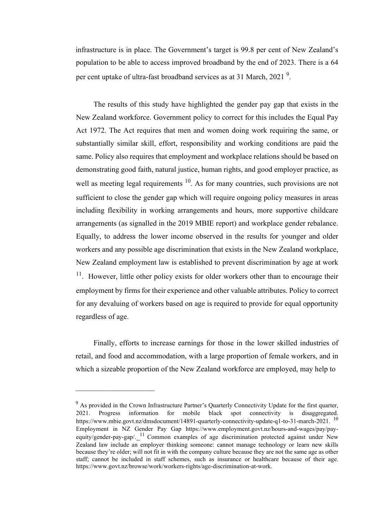infrastructure is in place. The Government's target is 99.8 per cent of New Zealand's population to be able to access improved broadband by the end of 2023. There is a 64 per cent uptake of ultra-fast broadband services as at 31 March, 2021<sup>9</sup>.

The results of this study have highlighted the gender pay gap that exists in the New Zealand workforce. Government policy to correct for this includes the Equal Pay Act 1972. The Act requires that men and women doing work requiring the same, or substantially similar skill, effort, responsibility and working conditions are paid the same. Policy also requires that employment and workplace relations should be based on demonstrating good faith, natural justice, human rights, and good employer practice, as well as meeting legal requirements  $10$ . As for many countries, such provisions are not sufficient to close the gender gap which will require ongoing policy measures in areas including flexibility in working arrangements and hours, more supportive childcare arrangements (as signalled in the 2019 MBIE report) and workplace gender rebalance. Equally, to address the lower income observed in the results for younger and older workers and any possible age discrimination that exists in the New Zealand workplace, New Zealand employment law is established to prevent discrimination by age at work <sup>11</sup>. However, little other policy exists for older workers other than to encourage their employment by firms for their experience and other valuable attributes. Policy to correct for any devaluing of workers based on age is required to provide for equal opportunity regardless of age.

Finally, efforts to increase earnings for those in the lower skilled industries of retail, and food and accommodation, with a large proportion of female workers, and in which a sizeable proportion of the New Zealand workforce are employed, may help to

\_\_\_\_\_\_\_\_\_\_\_\_\_\_\_\_\_\_\_\_\_

 $9$  As provided in the Crown Infrastructure Partner's Quarterly Connectivity Update for the first quarter, 2021. Progress information for mobile black spot connectivity is disaggregated. [https://www.mbie.govt.nz/dmsdocument/14891-quarterly-connectivity-update-q1-to-31-march-2021.](https://www.mbie.govt.nz/dmsdocument/14891-quarterly-connectivity-update-q1-to-31-march-2021) <sup>10</sup> Employment in NZ Gender Pay Gap [https://www.employment.govt.nz/hours-and-wages/pay/pay](https://www.employment.govt.nz/hours-and-wages/pay/pay-equity/gender-pay-gap/)equity/gender-pay-gap/ $\frac{11}{2}$  Common examples of age discrimination protected against under New Zealand law include an employer thinking someone: cannot manage technology or learn new skills because they're older; will not fit in with the company culture because they are not the same age as other staff; cannot be included in staff schemes, such as insurance or healthcare because of their age. [https://www.govt.nz/browse/work/workers-rights/age-discrimination-at-work.](https://www.govt.nz/browse/work/workers-rights/age-discrimination-at-work/)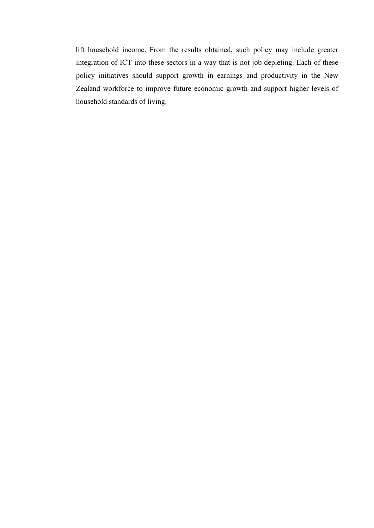lift household income. From the results obtained, such policy may include greater integration of ICT into these sectors in a way that is not job depleting. Each of these policy initiatives should support growth in earnings and productivity in the New Zealand workforce to improve future economic growth and support higher levels of household standards of living.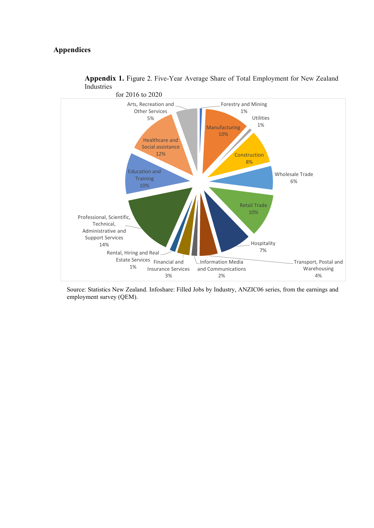# **Appendices**



**Appendix 1.** Figure 2. Five-Year Average Share of Total Employment for New Zealand Industries

Source: Statistics New Zealand. Infoshare: Filled Jobs by Industry, ANZIC06 series, from the earnings and employment survey (QEM).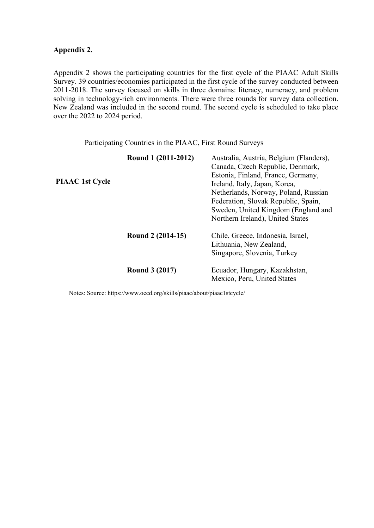# **Appendix 2.**

Appendix 2 shows the participating countries for the first cycle of the PIAAC Adult Skills Survey. 39 countries/economies participated in the first cycle of the survey conducted between 2011-2018. The survey focused on skills in three domains: literacy, numeracy, and problem solving in technology-rich environments. There were three rounds for survey data collection. New Zealand was included in the second round. The second cycle is scheduled to take place over the 2022 to 2024 period.

Participating Countries in the PIAAC, First Round Surveys

| <b>PIAAC</b> 1st Cycle | Round 1 (2011-2012)   | Australia, Austria, Belgium (Flanders),<br>Canada, Czech Republic, Denmark,<br>Estonia, Finland, France, Germany,<br>Ireland, Italy, Japan, Korea,<br>Netherlands, Norway, Poland, Russian<br>Federation, Slovak Republic, Spain,<br>Sweden, United Kingdom (England and<br>Northern Ireland), United States |
|------------------------|-----------------------|--------------------------------------------------------------------------------------------------------------------------------------------------------------------------------------------------------------------------------------------------------------------------------------------------------------|
|                        | Round 2 (2014-15)     | Chile, Greece, Indonesia, Israel,<br>Lithuania, New Zealand,<br>Singapore, Slovenia, Turkey                                                                                                                                                                                                                  |
|                        | <b>Round 3 (2017)</b> | Ecuador, Hungary, Kazakhstan,<br>Mexico, Peru, United States                                                                                                                                                                                                                                                 |

Notes: Source:<https://www.oecd.org/skills/piaac/about/piaac1stcycle/>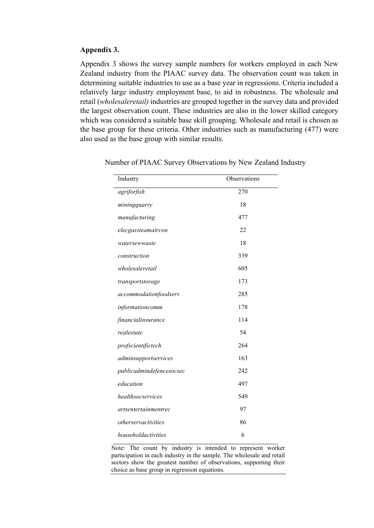## **Appendix 3.**

Appendix 3 shows the survey sample numbers for workers employed in each New Zealand industry from the PIAAC survey data. The observation count was taken in determining suitable industries to use as a base year in regressions. Criteria included a relatively large industry employment base, to aid in robustness. The wholesale and retail (*wholesaleretail)* industries are grouped together in the survey data and provided the largest observation count. These industries are also in the lower skilled category which was considered a suitable base skill grouping. Wholesale and retail is chosen as the base group for these criteria. Other industries such as manufacturing (477) were also used as the base group with similar results.

| Industry                    | Observations |
|-----------------------------|--------------|
| agriforfish                 | 270          |
| miningquarry                | 18           |
| manufacturing               | 477          |
| elecgassteamaircon          | 22           |
| watersewwaste               | 18           |
| construction                | 339          |
| wholesaleretail             | 605          |
| transportstorage            | 173          |
| accommodationfoodserv       | 285          |
| informationcomm             | 178          |
| financialinsurance          | 114          |
| realestate                  | 54           |
| profscientifictech          | 264          |
| adminsupportservices        | 163          |
| publicadmindefencesocsec    | 242          |
| education                   | 497          |
| healthsocservices           | 549          |
| <i>artsentertainmentrec</i> | 97           |
| otherservactivities         | 86           |
| householdactivities         | 6            |

Number of PIAAC Survey Observations by New Zealand Industry

Note: The count by industry is intended to represent worker participation in each industry in the sample. The wholesale and retail sectors show the greatest number of observations, supporting their choice as base group in regression equations.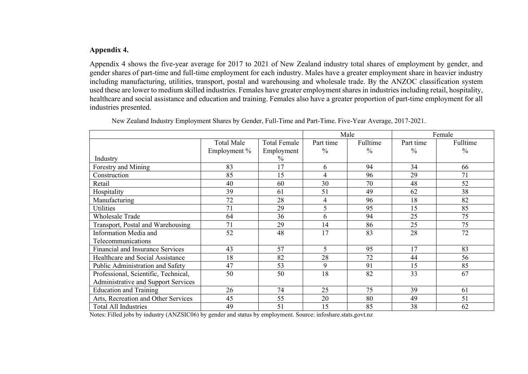# **Appendix 4.**

Appendix 4 shows the five-year average for 2017 to 2021 of New Zealand industry total shares of employment by gender, and gender shares of part-time and full-time employment for each industry. Males have a greater employment share in heavier industry including manufacturing, utilities, transport, postal and warehousing and wholesale trade. By the ANZOC classification system used these are lower to medium skilled industries. Females have greater employment shares in industries including retail, hospitality, healthcare and social assistance and education and training. Females also have a greater proportion of part-time employment for all industries presented.

|                                      |                   | Male                |                          | Female        |               |               |
|--------------------------------------|-------------------|---------------------|--------------------------|---------------|---------------|---------------|
|                                      | <b>Total Male</b> | <b>Total Female</b> | Part time                | Fulltime      | Part time     | Fulltime      |
|                                      | Employment %      | Employment          | $\frac{0}{0}$            | $\frac{0}{0}$ | $\frac{0}{0}$ | $\frac{0}{0}$ |
| Industry                             |                   | $\frac{0}{0}$       |                          |               |               |               |
| Forestry and Mining                  | 83                | 17                  | 6                        | 94            | 34            | 66            |
| Construction                         | 85                | 15                  | 4                        | 96            | 29            | 71            |
| Retail                               | 40                | 60                  | 30                       | 70            | 48            | 52            |
| Hospitality                          | 39                | 61                  | 51                       | 49            | 62            | 38            |
| Manufacturing                        | 72                | 28                  | $\overline{4}$           | 96            | 18            | 82            |
| Utilities                            | 71                | 29                  | 5                        | 95            | 15            | 85            |
| <b>Wholesale Trade</b>               | 64                | 36                  | 6                        | 94            | 25            | 75            |
| Transport, Postal and Warehousing    | 71                | 29                  | 14                       | 86            | 25            | 75            |
| Information Media and                | 52                | 48                  | 17                       | 83            | 28            | 72            |
| Telecommunications                   |                   |                     |                          |               |               |               |
| Financial and Insurance Services     | 43                | 57                  | $\overline{\mathcal{L}}$ | 95            | 17            | 83            |
| Healthcare and Social Assistance     | 18                | 82                  | 28                       | 72            | 44            | 56            |
| Public Administration and Safety     | 47                | 53                  | 9                        | 91            | 15            | 85            |
| Professional, Scientific, Technical, | 50                | 50                  | 18                       | 82            | 33            | 67            |
| Administrative and Support Services  |                   |                     |                          |               |               |               |
| <b>Education and Training</b>        | 26                | 74                  | 25                       | 75            | 39            | 61            |
| Arts, Recreation and Other Services  | 45                | 55                  | 20                       | 80            | 49            | 51            |
| <b>Total All Industries</b>          | 49                | 51                  | 15                       | 85            | 38            | 62            |

New Zealand Industry Employment Shares by Gender, Full-Time and Part-Time. Five-Year Average, 2017-2021.

Notes: Filled jobs by industry (ANZSIC06) by gender and status by employment. Source: infoshare.stats.govt.nz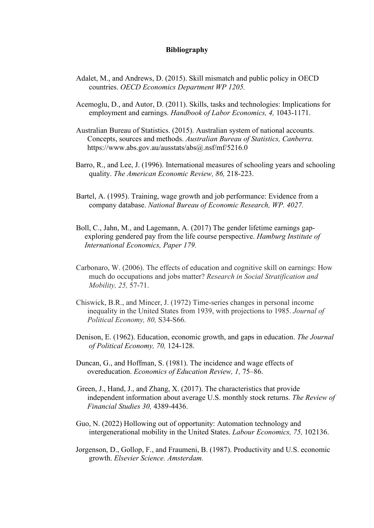### **Bibliography**

- Adalet, M., and Andrews, D. (2015). Skill mismatch and public policy in OECD countries. *OECD Economics Department WP 1205.*
- Acemoglu, D., and Autor, D. (2011). Skills, tasks and technologies: Implications for employment and earnings. *Handbook of Labor Economics, 4,* 1043-1171.
- Australian Bureau of Statistics. (2015). Australian system of national accounts. Concepts, sources and methods. *Australian Bureau of Statistics, Canberra.* https://www.abs.gov.au/ausstats/abs@.nsf/mf/5216.0
- Barro, R., and Lee, J. (1996). International measures of schooling years and schooling quality. *The American Economic Review, 86,* 218-223.
- Bartel, A. (1995). Training, wage growth and job performance: Evidence from a company database. *National Bureau of Economic Research, WP. 4027.*
- Boll, C., Jahn, M., and Lagemann, A. (2017) The gender lifetime earnings gapexploring gendered pay from the life course perspective. *Hamburg Institute of International Economics, Paper 179.*
- Carbonaro, W. (2006). The effects of education and cognitive skill on earnings: How much do occupations and jobs matter? *Research in Social Stratification and Mobility, 25,* 57-71.
- Chiswick, B.R., and Mincer, J. (1972) Time-series changes in personal income inequality in the United States from 1939, with projections to 1985. *Journal of Political Economy, 80,* S34-S66.
- Denison, E. (1962). Education, economic growth, and gaps in education. *The Journal of Political Economy, 70,* 124-128.
- Duncan, G., and Hoffman, S. (1981). The incidence and wage effects of overeducation. *Economics of Education Review, 1,* 75–86.
- Green, J., Hand, J., and Zhang, X. (2017). The characteristics that provide independent information about average U.S. monthly stock returns. *The Review of Financial Studies 30,* 4389-4436.
- Guo, N. (2022) Hollowing out of opportunity: Automation technology and intergenerational mobility in the United States. *Labour Economics, 75,* 102136.
- Jorgenson, D., Gollop, F., and Fraumeni, B. (1987). Productivity and U.S. economic growth. *Elsevier Science. Amsterdam.*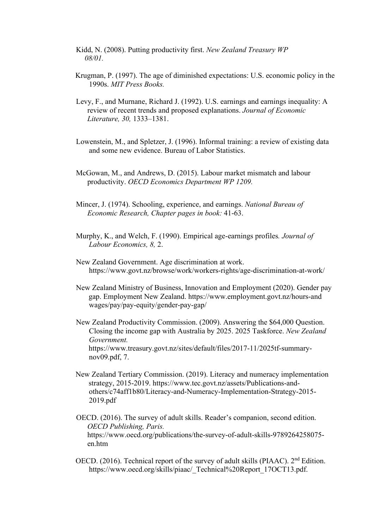- Kidd, N. (2008). Putting productivity first. *New Zealand Treasury WP 08/01.*
- Krugman, P. (1997). The age of diminished expectations: U.S. economic policy in the 1990s. *MIT Press Books.*
- Levy, F., and Murnane, Richard J. (1992). U.S. earnings and earnings inequality: A review of recent trends and proposed explanations. *Journal of Economic Literature, 30,* 1333–1381.
- Lowenstein, M., and Spletzer, J. (1996). Informal training: a review of existing data and some new evidence. Bureau of Labor Statistics.
- McGowan, M., and Andrews, D. (2015). Labour market mismatch and labour productivity. *OECD Economics Department WP 1209.*
- Mincer, J. (1974). Schooling, experience, and earnings. *National Bureau of Economic Research, Chapter pages in book:* 41-63.
- Murphy, K., and Welch, F. (1990). Empirical age-earnings profiles*. Journal of Labour Economics, 8,* 2.
- New Zealand Government. Age discrimination at work. <https://www.govt.nz/browse/work/workers-rights/age-discrimination-at-work/>
- New Zealand Ministry of Business, Innovation and Employment (2020). Gender pay gap. Employment New Zealand. [https://www.employment.govt.nz/hours-and](https://www.employment.govt.nz/hours-and%20wages/pay/pay-equity/gender-pay-gap/)  [wages/pay/pay-equity/gender-pay-gap/](https://www.employment.govt.nz/hours-and%20wages/pay/pay-equity/gender-pay-gap/)
- New Zealand Productivity Commission. (2009). Answering the \$64,000 Question. Closing the income gap with Australia by 2025. 2025 Taskforce. *New Zealand Government.* [https://www.treasury.govt.nz/sites/default/files/2017-11/2025tf-summary](https://www.treasury.govt.nz/sites/default/files/2017-11/2025tf-summary-nov09.pdf)[nov09.pdf,](https://www.treasury.govt.nz/sites/default/files/2017-11/2025tf-summary-nov09.pdf) 7.
- New Zealand Tertiary Commission. (2019). Literacy and numeracy implementation strategy, 2015-2019. [https://www.tec.govt.nz/assets/Publications-and](https://www.tec.govt.nz/assets/Publications-and-others/c74aff1b80/Literacy-and-)[others/c74aff1b80/Literacy-and-N](https://www.tec.govt.nz/assets/Publications-and-others/c74aff1b80/Literacy-and-)umeracy-Implementation-Strategy-2015- 2019.pdf
- OECD. (2016). The survey of adult skills. Reader's companion, second edition. *OECD Publishing, Paris.* [https://www.oecd.org/publications/the-survey-of-adult-skills-9789264258075](https://www.oecd.org/publications/the-survey-of-adult-skills-9789264258075-) en.htm
- OECD. (2016). Technical report of the survey of adult skills (PIAAC). 2<sup>nd</sup> Edition. [https://www.oecd.org/skills/piaac/\\_Technical%20Report\\_17OCT13.pdf.](https://www.oecd.org/skills/piaac/_Technical%20Report_17OCT13.pdf)